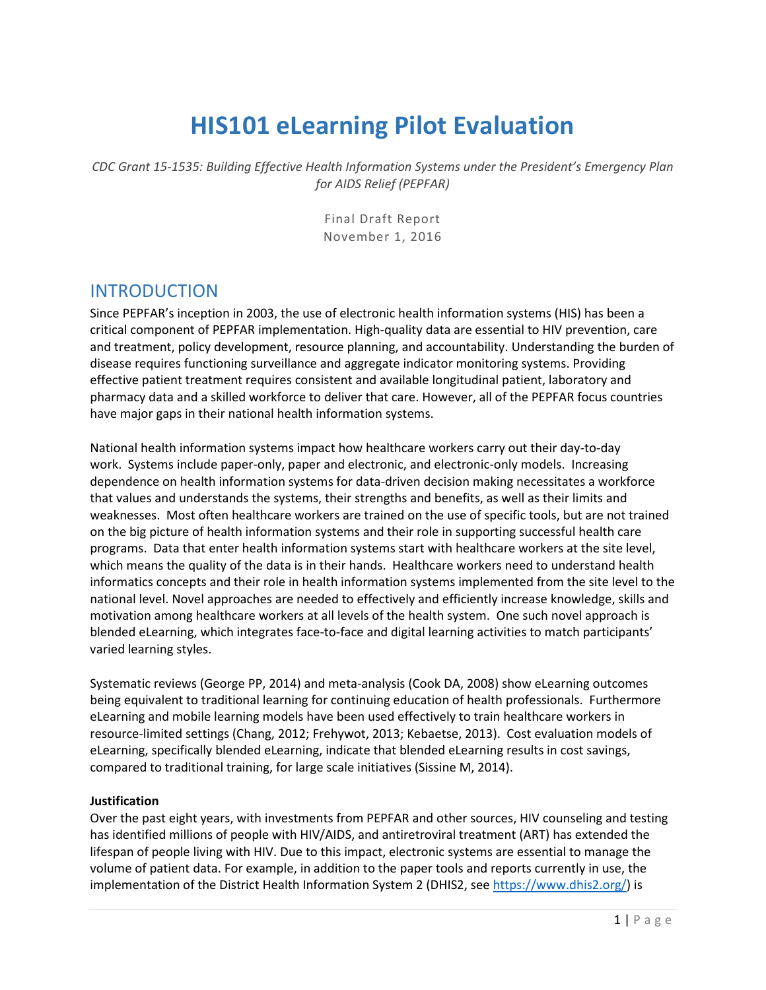# **HIS101 eLearning Pilot Evaluation**

*CDC Grant 15-1535: Building Effective Health Information Systems under the President's Emergency Plan for AIDS Relief (PEPFAR)*

> Final Draft Report November 1, 2016

# INTRODUCTION

Since PEPFAR's inception in 2003, the use of electronic health information systems (HIS) has been a critical component of PEPFAR implementation. High-quality data are essential to HIV prevention, care and treatment, policy development, resource planning, and accountability. Understanding the burden of disease requires functioning surveillance and aggregate indicator monitoring systems. Providing effective patient treatment requires consistent and available longitudinal patient, laboratory and pharmacy data and a skilled workforce to deliver that care. However, all of the PEPFAR focus countries have major gaps in their national health information systems.

National health information systems impact how healthcare workers carry out their day-to-day work. Systems include paper-only, paper and electronic, and electronic-only models. Increasing dependence on health information systems for data-driven decision making necessitates a workforce that values and understands the systems, their strengths and benefits, as well as their limits and weaknesses. Most often healthcare workers are trained on the use of specific tools, but are not trained on the big picture of health information systems and their role in supporting successful health care programs. Data that enter health information systems start with healthcare workers at the site level, which means the quality of the data is in their hands. Healthcare workers need to understand health informatics concepts and their role in health information systems implemented from the site level to the national level. Novel approaches are needed to effectively and efficiently increase knowledge, skills and motivation among healthcare workers at all levels of the health system. One such novel approach is blended eLearning, which integrates face-to-face and digital learning activities to match participants' varied learning styles.

Systematic reviews (George PP, 2014) and meta-analysis (Cook DA, 2008) show eLearning outcomes being equivalent to traditional learning for continuing education of health professionals. Furthermore eLearning and mobile learning models have been used effectively to train healthcare workers in resource-limited settings (Chang, 2012; Frehywot, 2013; Kebaetse, 2013). Cost evaluation models of eLearning, specifically blended eLearning, indicate that blended eLearning results in cost savings, compared to traditional training, for large scale initiatives (Sissine M, 2014).

#### **Justification**

Over the past eight years, with investments from PEPFAR and other sources, HIV counseling and testing has identified millions of people with HIV/AIDS, and antiretroviral treatment (ART) has extended the lifespan of people living with HIV. Due to this impact, electronic systems are essential to manage the volume of patient data. For example, in addition to the paper tools and reports currently in use, the implementation of the District Health Information System 2 (DHIS2, see [https://www.dhis2.org/\)](https://www.dhis2.org/) is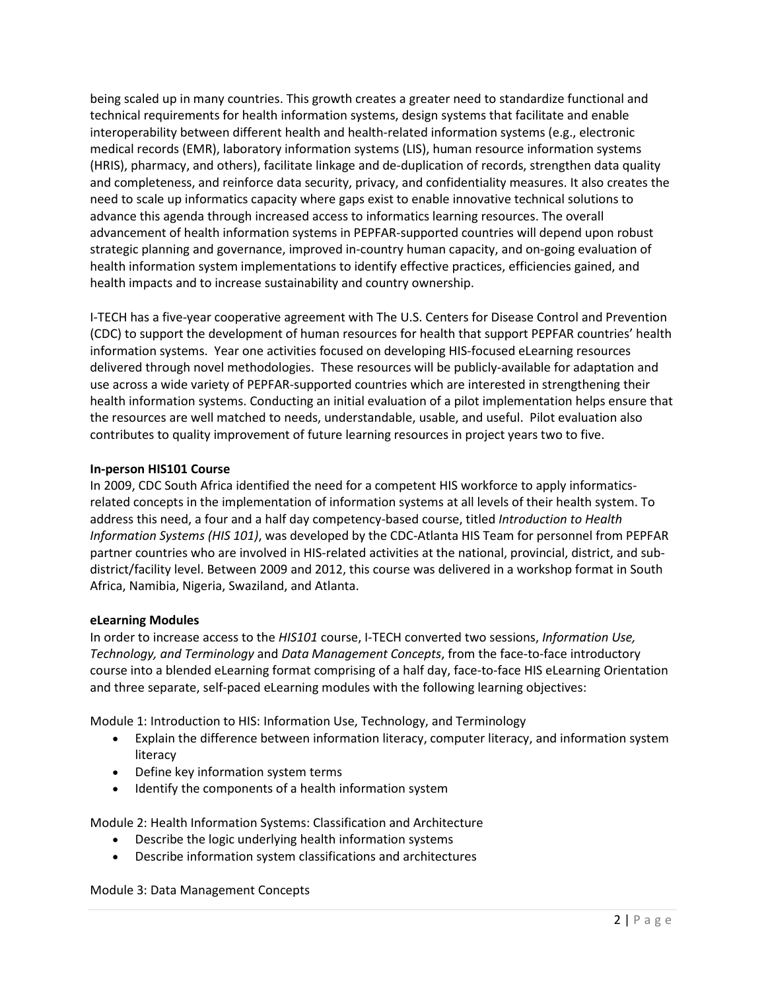being scaled up in many countries. This growth creates a greater need to standardize functional and technical requirements for health information systems, design systems that facilitate and enable interoperability between different health and health-related information systems (e.g., electronic medical records (EMR), laboratory information systems (LIS), human resource information systems (HRIS), pharmacy, and others), facilitate linkage and de-duplication of records, strengthen data quality and completeness, and reinforce data security, privacy, and confidentiality measures. It also creates the need to scale up informatics capacity where gaps exist to enable innovative technical solutions to advance this agenda through increased access to informatics learning resources. The overall advancement of health information systems in PEPFAR-supported countries will depend upon robust strategic planning and governance, improved in-country human capacity, and on-going evaluation of health information system implementations to identify effective practices, efficiencies gained, and health impacts and to increase sustainability and country ownership.

I-TECH has a five-year cooperative agreement with The U.S. Centers for Disease Control and Prevention (CDC) to support the development of human resources for health that support PEPFAR countries' health information systems. Year one activities focused on developing HIS-focused eLearning resources delivered through novel methodologies. These resources will be publicly-available for adaptation and use across a wide variety of PEPFAR-supported countries which are interested in strengthening their health information systems. Conducting an initial evaluation of a pilot implementation helps ensure that the resources are well matched to needs, understandable, usable, and useful. Pilot evaluation also contributes to quality improvement of future learning resources in project years two to five.

#### **In-person HIS101 Course**

In 2009, CDC South Africa identified the need for a competent HIS workforce to apply informaticsrelated concepts in the implementation of information systems at all levels of their health system. To address this need, a four and a half day competency-based course, titled *Introduction to Health Information Systems (HIS 101)*, was developed by the CDC-Atlanta HIS Team for personnel from PEPFAR partner countries who are involved in HIS-related activities at the national, provincial, district, and subdistrict/facility level. Between 2009 and 2012, this course was delivered in a workshop format in South Africa, Namibia, Nigeria, Swaziland, and Atlanta.

#### **eLearning Modules**

In order to increase access to the *HIS101* course, I-TECH converted two sessions, *Information Use, Technology, and Terminology* and *Data Management Concepts*, from the face-to-face introductory course into a blended eLearning format comprising of a half day, face-to-face HIS eLearning Orientation and three separate, self-paced eLearning modules with the following learning objectives:

Module 1: Introduction to HIS: Information Use, Technology, and Terminology

- Explain the difference between information literacy, computer literacy, and information system literacy
- Define key information system terms
- Identify the components of a health information system

Module 2: Health Information Systems: Classification and Architecture

- Describe the logic underlying health information systems
- Describe information system classifications and architectures

Module 3: Data Management Concepts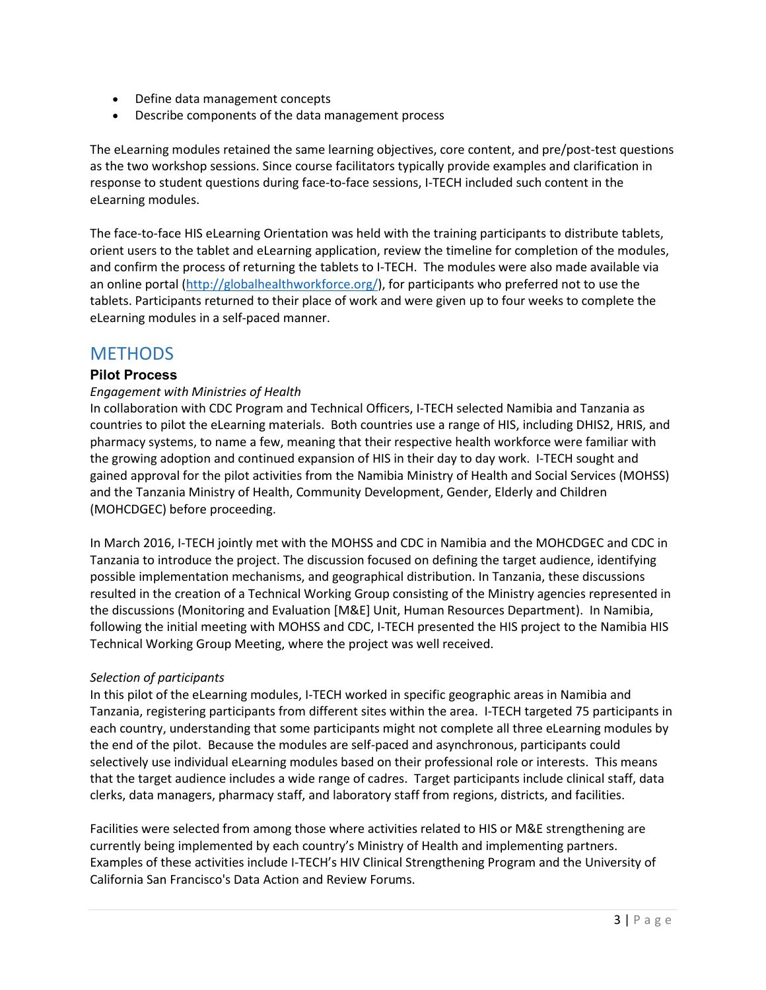- Define data management concepts
- Describe components of the data management process

The eLearning modules retained the same learning objectives, core content, and pre/post-test questions as the two workshop sessions. Since course facilitators typically provide examples and clarification in response to student questions during face-to-face sessions, I-TECH included such content in the eLearning modules.

The face-to-face HIS eLearning Orientation was held with the training participants to distribute tablets, orient users to the tablet and eLearning application, review the timeline for completion of the modules, and confirm the process of returning the tablets to I-TECH. The modules were also made available via an online portal [\(http://globalhealthworkforce.org/\)](http://globalhealthworkforce.org/), for participants who preferred not to use the tablets. Participants returned to their place of work and were given up to four weeks to complete the eLearning modules in a self-paced manner.

### **METHODS**

#### **Pilot Process**

#### *Engagement with Ministries of Health*

In collaboration with CDC Program and Technical Officers, I-TECH selected Namibia and Tanzania as countries to pilot the eLearning materials. Both countries use a range of HIS, including DHIS2, HRIS, and pharmacy systems, to name a few, meaning that their respective health workforce were familiar with the growing adoption and continued expansion of HIS in their day to day work. I-TECH sought and gained approval for the pilot activities from the Namibia Ministry of Health and Social Services (MOHSS) and the Tanzania Ministry of Health, Community Development, Gender, Elderly and Children (MOHCDGEC) before proceeding.

In March 2016, I-TECH jointly met with the MOHSS and CDC in Namibia and the MOHCDGEC and CDC in Tanzania to introduce the project. The discussion focused on defining the target audience, identifying possible implementation mechanisms, and geographical distribution. In Tanzania, these discussions resulted in the creation of a Technical Working Group consisting of the Ministry agencies represented in the discussions (Monitoring and Evaluation [M&E] Unit, Human Resources Department). In Namibia, following the initial meeting with MOHSS and CDC, I-TECH presented the HIS project to the Namibia HIS Technical Working Group Meeting, where the project was well received.

#### *Selection of participants*

In this pilot of the eLearning modules, I-TECH worked in specific geographic areas in Namibia and Tanzania, registering participants from different sites within the area. I-TECH targeted 75 participants in each country, understanding that some participants might not complete all three eLearning modules by the end of the pilot. Because the modules are self-paced and asynchronous, participants could selectively use individual eLearning modules based on their professional role or interests. This means that the target audience includes a wide range of cadres. Target participants include clinical staff, data clerks, data managers, pharmacy staff, and laboratory staff from regions, districts, and facilities.

Facilities were selected from among those where activities related to HIS or M&E strengthening are currently being implemented by each country's Ministry of Health and implementing partners. Examples of these activities include I-TECH's HIV Clinical Strengthening Program and the University of California San Francisco's Data Action and Review Forums.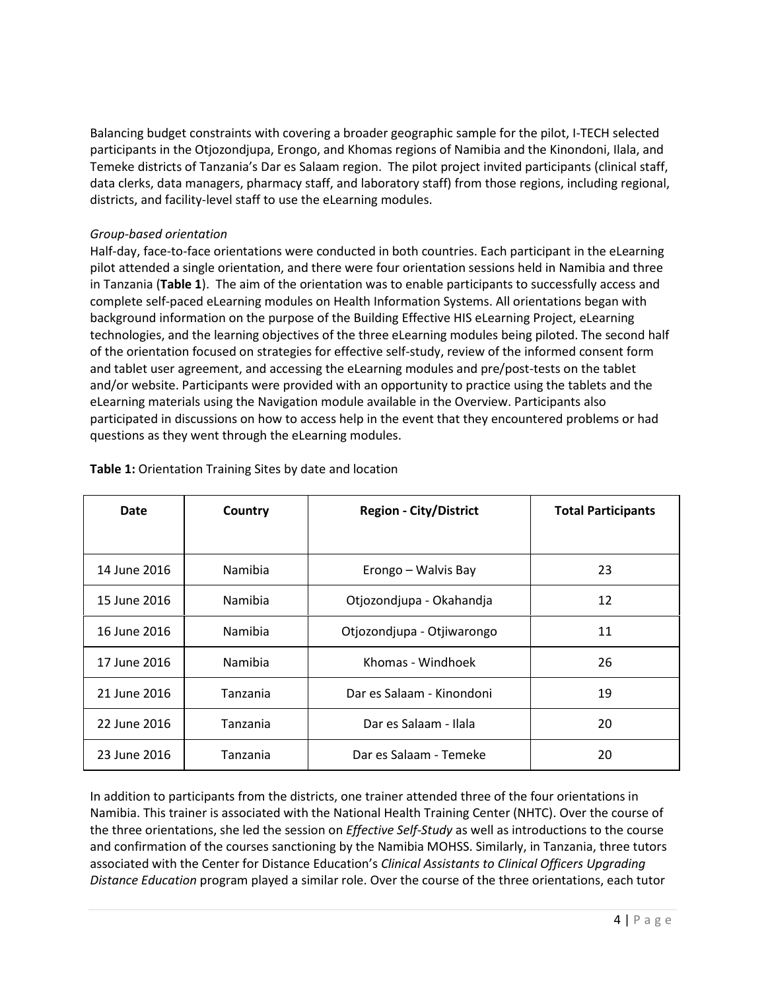Balancing budget constraints with covering a broader geographic sample for the pilot, I-TECH selected participants in the Otjozondjupa, Erongo, and Khomas regions of Namibia and the Kinondoni, Ilala, and Temeke districts of Tanzania's Dar es Salaam region. The pilot project invited participants (clinical staff, data clerks, data managers, pharmacy staff, and laboratory staff) from those regions, including regional, districts, and facility-level staff to use the eLearning modules.

#### *Group-based orientation*

Half-day, face-to-face orientations were conducted in both countries. Each participant in the eLearning pilot attended a single orientation, and there were four orientation sessions held in Namibia and three in Tanzania (**Table 1**). The aim of the orientation was to enable participants to successfully access and complete self-paced eLearning modules on Health Information Systems. All orientations began with background information on the purpose of the Building Effective HIS eLearning Project, eLearning technologies, and the learning objectives of the three eLearning modules being piloted. The second half of the orientation focused on strategies for effective self-study, review of the informed consent form and tablet user agreement, and accessing the eLearning modules and pre/post-tests on the tablet and/or website. Participants were provided with an opportunity to practice using the tablets and the eLearning materials using the Navigation module available in the Overview. Participants also participated in discussions on how to access help in the event that they encountered problems or had questions as they went through the eLearning modules.

| <b>Date</b>  | Country  | <b>Region - City/District</b> | <b>Total Participants</b> |
|--------------|----------|-------------------------------|---------------------------|
|              |          |                               |                           |
| 14 June 2016 | Namibia  | Erongo - Walvis Bay           | 23                        |
| 15 June 2016 | Namibia  | Otjozondjupa - Okahandja      | 12                        |
| 16 June 2016 | Namibia  | Otjozondjupa - Otjiwarongo    | 11                        |
| 17 June 2016 | Namibia  | Khomas - Windhoek             | 26                        |
| 21 June 2016 | Tanzania | Dar es Salaam - Kinondoni     | 19                        |
| 22 June 2016 | Tanzania | Dar es Salaam - Ilala         | 20                        |
| 23 June 2016 | Tanzania | Dar es Salaam - Temeke        | 20                        |

**Table 1:** Orientation Training Sites by date and location

In addition to participants from the districts, one trainer attended three of the four orientations in Namibia. This trainer is associated with the National Health Training Center (NHTC). Over the course of the three orientations, she led the session on *Effective Self-Study* as well as introductions to the course and confirmation of the courses sanctioning by the Namibia MOHSS. Similarly, in Tanzania, three tutors associated with the Center for Distance Education's *Clinical Assistants to Clinical Officers Upgrading Distance Education* program played a similar role. Over the course of the three orientations, each tutor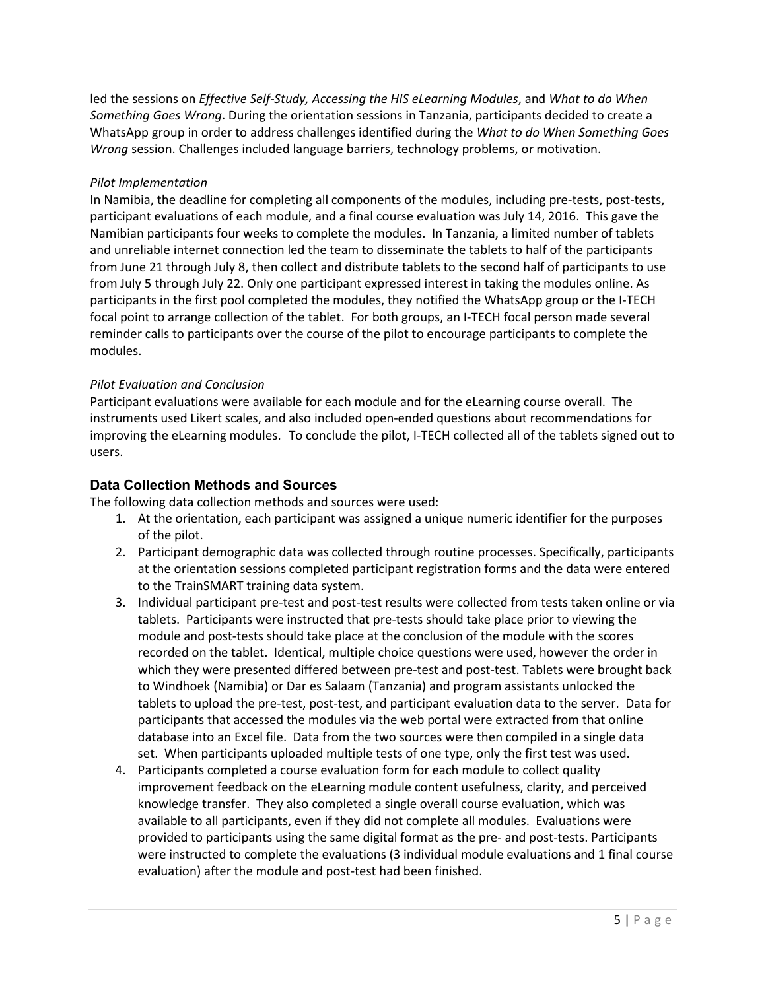led the sessions on *Effective Self-Study, Accessing the HIS eLearning Modules*, and *What to do When Something Goes Wrong*. During the orientation sessions in Tanzania, participants decided to create a WhatsApp group in order to address challenges identified during the *What to do When Something Goes Wrong* session. Challenges included language barriers, technology problems, or motivation.

#### *Pilot Implementation*

In Namibia, the deadline for completing all components of the modules, including pre-tests, post-tests, participant evaluations of each module, and a final course evaluation was July 14, 2016. This gave the Namibian participants four weeks to complete the modules. In Tanzania, a limited number of tablets and unreliable internet connection led the team to disseminate the tablets to half of the participants from June 21 through July 8, then collect and distribute tablets to the second half of participants to use from July 5 through July 22. Only one participant expressed interest in taking the modules online. As participants in the first pool completed the modules, they notified the WhatsApp group or the I-TECH focal point to arrange collection of the tablet. For both groups, an I-TECH focal person made several reminder calls to participants over the course of the pilot to encourage participants to complete the modules.

#### *Pilot Evaluation and Conclusion*

Participant evaluations were available for each module and for the eLearning course overall. The instruments used Likert scales, and also included open-ended questions about recommendations for improving the eLearning modules. To conclude the pilot, I-TECH collected all of the tablets signed out to users.

#### **Data Collection Methods and Sources**

The following data collection methods and sources were used:

- 1. At the orientation, each participant was assigned a unique numeric identifier for the purposes of the pilot.
- 2. Participant demographic data was collected through routine processes. Specifically, participants at the orientation sessions completed participant registration forms and the data were entered to the TrainSMART training data system.
- 3. Individual participant pre-test and post-test results were collected from tests taken online or via tablets. Participants were instructed that pre-tests should take place prior to viewing the module and post-tests should take place at the conclusion of the module with the scores recorded on the tablet. Identical, multiple choice questions were used, however the order in which they were presented differed between pre-test and post-test. Tablets were brought back to Windhoek (Namibia) or Dar es Salaam (Tanzania) and program assistants unlocked the tablets to upload the pre-test, post-test, and participant evaluation data to the server. Data for participants that accessed the modules via the web portal were extracted from that online database into an Excel file. Data from the two sources were then compiled in a single data set. When participants uploaded multiple tests of one type, only the first test was used.
- 4. Participants completed a course evaluation form for each module to collect quality improvement feedback on the eLearning module content usefulness, clarity, and perceived knowledge transfer. They also completed a single overall course evaluation, which was available to all participants, even if they did not complete all modules. Evaluations were provided to participants using the same digital format as the pre- and post-tests. Participants were instructed to complete the evaluations (3 individual module evaluations and 1 final course evaluation) after the module and post-test had been finished.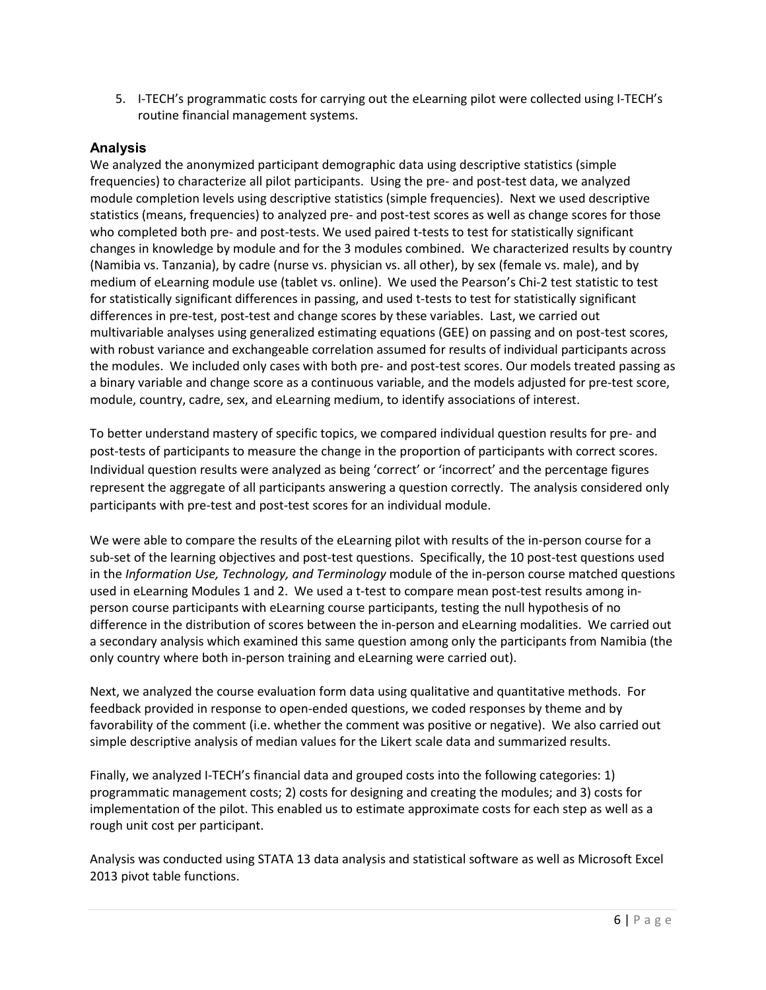5. I-TECH's programmatic costs for carrying out the eLearning pilot were collected using I-TECH's routine financial management systems.

#### **Analysis**

We analyzed the anonymized participant demographic data using descriptive statistics (simple frequencies) to characterize all pilot participants. Using the pre- and post-test data, we analyzed module completion levels using descriptive statistics (simple frequencies). Next we used descriptive statistics (means, frequencies) to analyzed pre- and post-test scores as well as change scores for those who completed both pre- and post-tests. We used paired t-tests to test for statistically significant changes in knowledge by module and for the 3 modules combined. We characterized results by country (Namibia vs. Tanzania), by cadre (nurse vs. physician vs. all other), by sex (female vs. male), and by medium of eLearning module use (tablet vs. online). We used the Pearson's Chi-2 test statistic to test for statistically significant differences in passing, and used t-tests to test for statistically significant differences in pre-test, post-test and change scores by these variables. Last, we carried out multivariable analyses using generalized estimating equations (GEE) on passing and on post-test scores, with robust variance and exchangeable correlation assumed for results of individual participants across the modules. We included only cases with both pre- and post-test scores. Our models treated passing as a binary variable and change score as a continuous variable, and the models adjusted for pre-test score, module, country, cadre, sex, and eLearning medium, to identify associations of interest.

To better understand mastery of specific topics, we compared individual question results for pre- and post-tests of participants to measure the change in the proportion of participants with correct scores. Individual question results were analyzed as being 'correct' or 'incorrect' and the percentage figures represent the aggregate of all participants answering a question correctly. The analysis considered only participants with pre-test and post-test scores for an individual module.

We were able to compare the results of the eLearning pilot with results of the in-person course for a sub-set of the learning objectives and post-test questions. Specifically, the 10 post-test questions used in the *Information Use, Technology, and Terminology* module of the in-person course matched questions used in eLearning Modules 1 and 2. We used a t-test to compare mean post-test results among inperson course participants with eLearning course participants, testing the null hypothesis of no difference in the distribution of scores between the in-person and eLearning modalities. We carried out a secondary analysis which examined this same question among only the participants from Namibia (the only country where both in-person training and eLearning were carried out).

Next, we analyzed the course evaluation form data using qualitative and quantitative methods. For feedback provided in response to open-ended questions, we coded responses by theme and by favorability of the comment (i.e. whether the comment was positive or negative). We also carried out simple descriptive analysis of median values for the Likert scale data and summarized results.

Finally, we analyzed I-TECH's financial data and grouped costs into the following categories: 1) programmatic management costs; 2) costs for designing and creating the modules; and 3) costs for implementation of the pilot. This enabled us to estimate approximate costs for each step as well as a rough unit cost per participant.

Analysis was conducted using STATA 13 data analysis and statistical software as well as Microsoft Excel 2013 pivot table functions.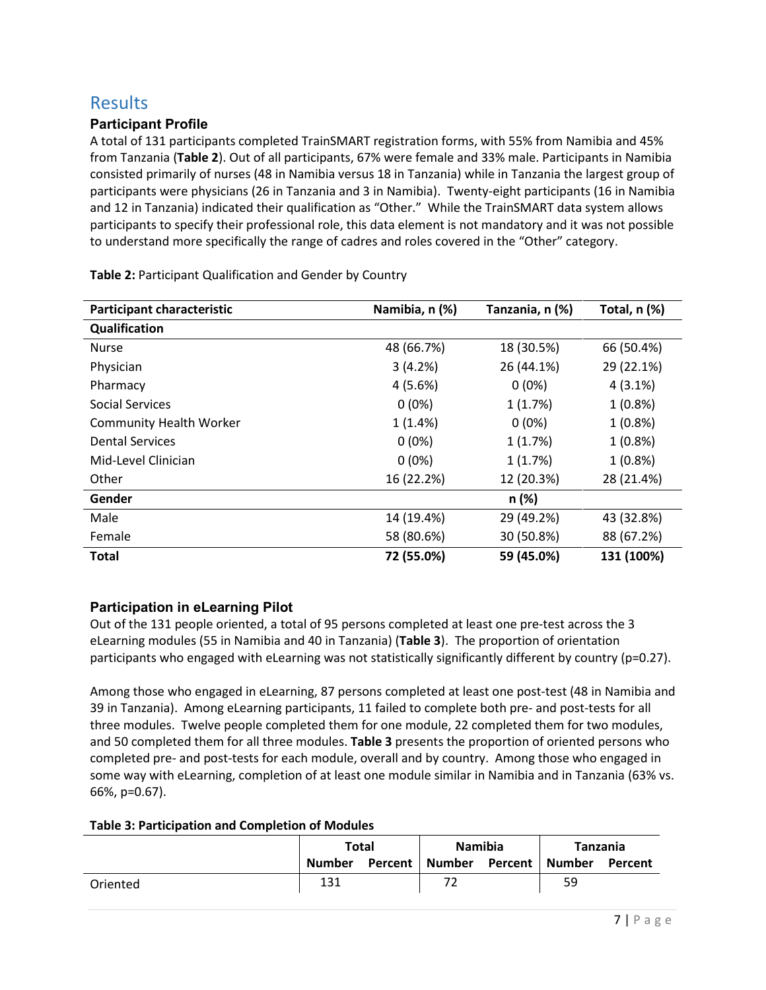# **Results**

#### **Participant Profile**

A total of 131 participants completed TrainSMART registration forms, with 55% from Namibia and 45% from Tanzania (**Table 2**). Out of all participants, 67% were female and 33% male. Participants in Namibia consisted primarily of nurses (48 in Namibia versus 18 in Tanzania) while in Tanzania the largest group of participants were physicians (26 in Tanzania and 3 in Namibia). Twenty-eight participants (16 in Namibia and 12 in Tanzania) indicated their qualification as "Other." While the TrainSMART data system allows participants to specify their professional role, this data element is not mandatory and it was not possible to understand more specifically the range of cadres and roles covered in the "Other" category.

| <b>Participant characteristic</b> | Namibia, n (%)<br>Tanzania, n (%) |            | Total, n (%) |
|-----------------------------------|-----------------------------------|------------|--------------|
| Qualification                     |                                   |            |              |
| <b>Nurse</b>                      | 48 (66.7%)                        | 18 (30.5%) | 66 (50.4%)   |
| Physician                         | 3(4.2%)                           | 26 (44.1%) | 29 (22.1%)   |
| Pharmacy                          | 4(5.6%)                           | $0(0\%)$   | $4(3.1\%)$   |
| Social Services                   | $0(0\%)$                          | 1(1.7%)    | $1(0.8\%)$   |
| <b>Community Health Worker</b>    | 1(1.4%)                           | $0(0\%)$   | $1(0.8\%)$   |
| <b>Dental Services</b>            | $0(0\%)$                          | 1(1.7%)    | $1(0.8\%)$   |
| Mid-Level Clinician               | $0(0\%)$                          | 1(1.7%)    | $1(0.8\%)$   |
| Other                             | 16 (22.2%)                        | 12 (20.3%) | 28 (21.4%)   |
| Gender                            |                                   | n (%)      |              |
| Male                              | 14 (19.4%)                        | 29 (49.2%) | 43 (32.8%)   |
| Female                            | 58 (80.6%)                        | 30 (50.8%) | 88 (67.2%)   |
| <b>Total</b>                      | 72 (55.0%)                        | 59 (45.0%) | 131 (100%)   |

**Table 2:** Participant Qualification and Gender by Country

### **Participation in eLearning Pilot**

Out of the 131 people oriented, a total of 95 persons completed at least one pre-test across the 3 eLearning modules (55 in Namibia and 40 in Tanzania) (**Table 3**). The proportion of orientation participants who engaged with eLearning was not statistically significantly different by country (p=0.27).

Among those who engaged in eLearning, 87 persons completed at least one post-test (48 in Namibia and 39 in Tanzania). Among eLearning participants, 11 failed to complete both pre- and post-tests for all three modules. Twelve people completed them for one module, 22 completed them for two modules, and 50 completed them for all three modules. **Table 3** presents the proportion of oriented persons who completed pre- and post-tests for each module, overall and by country. Among those who engaged in some way with eLearning, completion of at least one module similar in Namibia and in Tanzania (63% vs. 66%, p=0.67).

#### **Table 3: Participation and Completion of Modules**

|          | <b>Total</b> |  | <b>Namibia</b>                    |  | Tanzania |         |
|----------|--------------|--|-----------------------------------|--|----------|---------|
|          | Number       |  | Percent   Number Percent   Number |  |          | Percent |
| Oriented | 131          |  |                                   |  | 59       |         |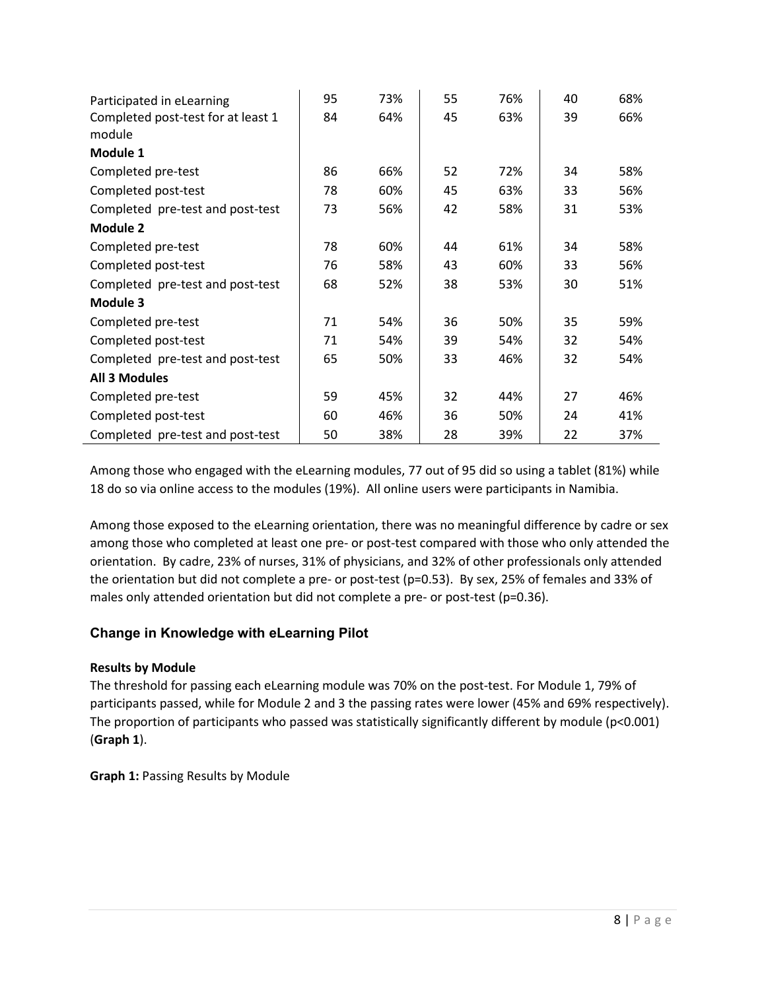| Participated in eLearning          | 95 | 73% | 55 | 76% | 40 | 68% |
|------------------------------------|----|-----|----|-----|----|-----|
| Completed post-test for at least 1 | 84 | 64% | 45 | 63% | 39 | 66% |
| module                             |    |     |    |     |    |     |
| Module 1                           |    |     |    |     |    |     |
| Completed pre-test                 | 86 | 66% | 52 | 72% | 34 | 58% |
| Completed post-test                | 78 | 60% | 45 | 63% | 33 | 56% |
| Completed pre-test and post-test   | 73 | 56% | 42 | 58% | 31 | 53% |
| Module 2                           |    |     |    |     |    |     |
| Completed pre-test                 | 78 | 60% | 44 | 61% | 34 | 58% |
| Completed post-test                | 76 | 58% | 43 | 60% | 33 | 56% |
| Completed pre-test and post-test   | 68 | 52% | 38 | 53% | 30 | 51% |
| Module 3                           |    |     |    |     |    |     |
| Completed pre-test                 | 71 | 54% | 36 | 50% | 35 | 59% |
| Completed post-test                | 71 | 54% | 39 | 54% | 32 | 54% |
| Completed pre-test and post-test   | 65 | 50% | 33 | 46% | 32 | 54% |
| <b>All 3 Modules</b>               |    |     |    |     |    |     |
| Completed pre-test                 | 59 | 45% | 32 | 44% | 27 | 46% |
| Completed post-test                | 60 | 46% | 36 | 50% | 24 | 41% |
| Completed pre-test and post-test   | 50 | 38% | 28 | 39% | 22 | 37% |

Among those who engaged with the eLearning modules, 77 out of 95 did so using a tablet (81%) while 18 do so via online access to the modules (19%). All online users were participants in Namibia.

Among those exposed to the eLearning orientation, there was no meaningful difference by cadre or sex among those who completed at least one pre- or post-test compared with those who only attended the orientation. By cadre, 23% of nurses, 31% of physicians, and 32% of other professionals only attended the orientation but did not complete a pre- or post-test (p=0.53). By sex, 25% of females and 33% of males only attended orientation but did not complete a pre- or post-test (p=0.36).

#### **Change in Knowledge with eLearning Pilot**

#### **Results by Module**

The threshold for passing each eLearning module was 70% on the post-test. For Module 1, 79% of participants passed, while for Module 2 and 3 the passing rates were lower (45% and 69% respectively). The proportion of participants who passed was statistically significantly different by module (p<0.001) (**Graph 1**).

**Graph 1:** Passing Results by Module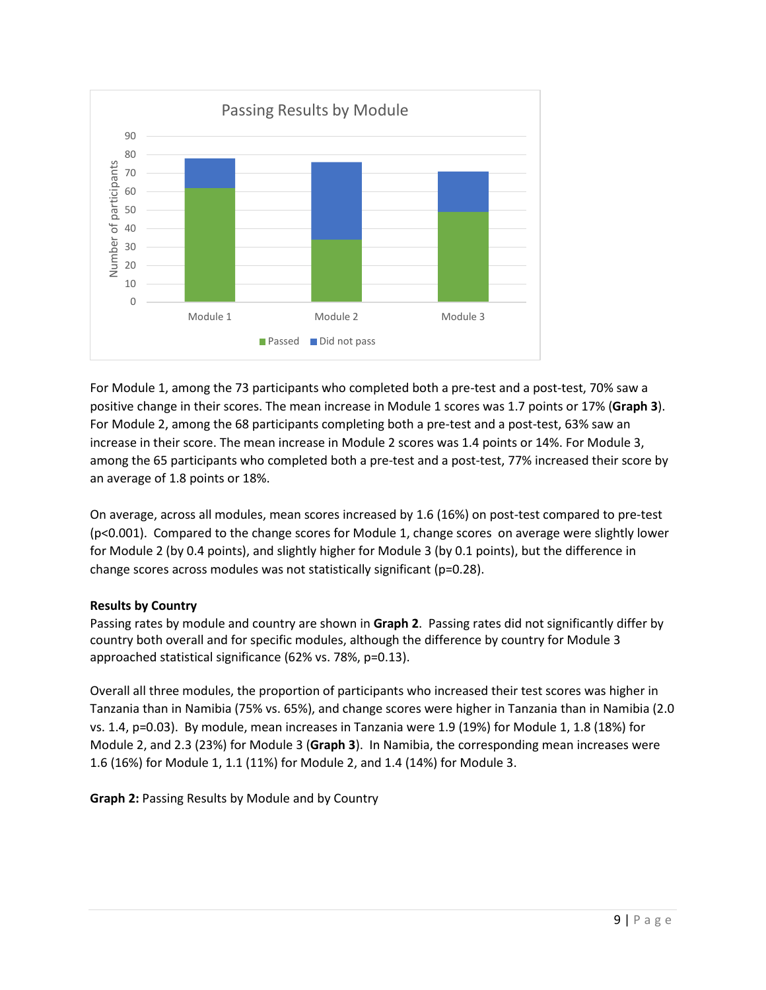

For Module 1, among the 73 participants who completed both a pre-test and a post-test, 70% saw a positive change in their scores. The mean increase in Module 1 scores was 1.7 points or 17% (**Graph 3**). For Module 2, among the 68 participants completing both a pre-test and a post-test, 63% saw an increase in their score. The mean increase in Module 2 scores was 1.4 points or 14%. For Module 3, among the 65 participants who completed both a pre-test and a post-test, 77% increased their score by an average of 1.8 points or 18%.

On average, across all modules, mean scores increased by 1.6 (16%) on post-test compared to pre-test (p<0.001). Compared to the change scores for Module 1, change scores on average were slightly lower for Module 2 (by 0.4 points), and slightly higher for Module 3 (by 0.1 points), but the difference in change scores across modules was not statistically significant (p=0.28).

#### **Results by Country**

Passing rates by module and country are shown in **Graph 2**. Passing rates did not significantly differ by country both overall and for specific modules, although the difference by country for Module 3 approached statistical significance (62% vs. 78%, p=0.13).

Overall all three modules, the proportion of participants who increased their test scores was higher in Tanzania than in Namibia (75% vs. 65%), and change scores were higher in Tanzania than in Namibia (2.0 vs. 1.4, p=0.03). By module, mean increases in Tanzania were 1.9 (19%) for Module 1, 1.8 (18%) for Module 2, and 2.3 (23%) for Module 3 (**Graph 3**). In Namibia, the corresponding mean increases were 1.6 (16%) for Module 1, 1.1 (11%) for Module 2, and 1.4 (14%) for Module 3.

**Graph 2:** Passing Results by Module and by Country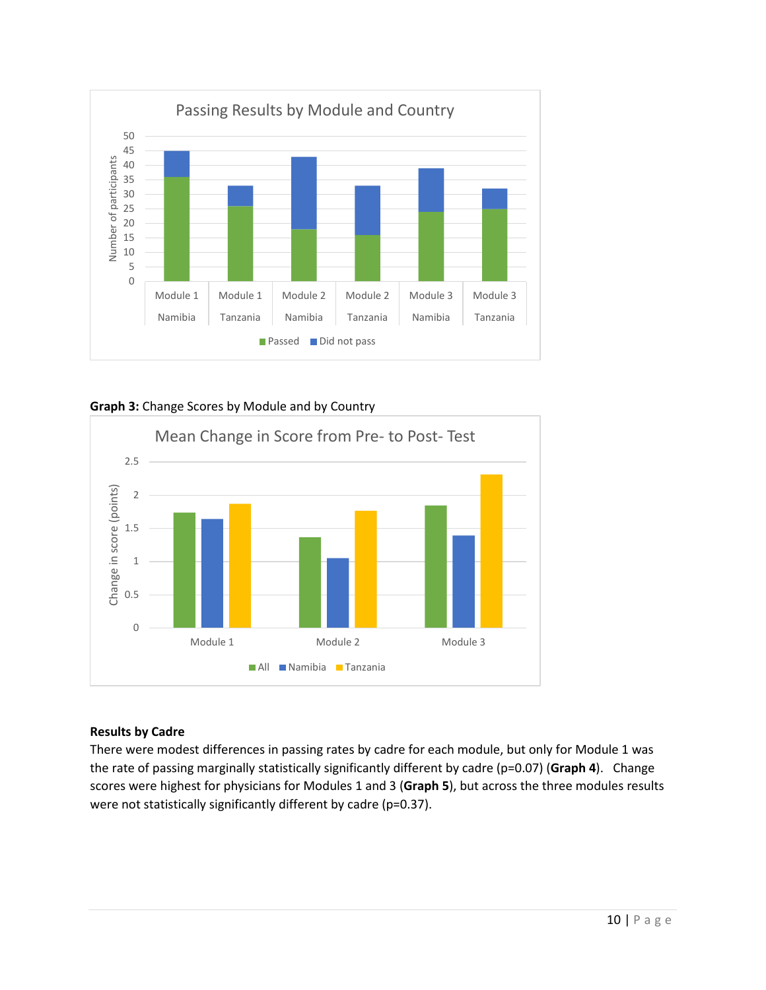

**Graph 3:** Change Scores by Module and by Country



#### **Results by Cadre**

There were modest differences in passing rates by cadre for each module, but only for Module 1 was the rate of passing marginally statistically significantly different by cadre (p=0.07) (**Graph 4**).Change scores were highest for physicians for Modules 1 and 3 (**Graph 5**), but across the three modules results were not statistically significantly different by cadre (p=0.37).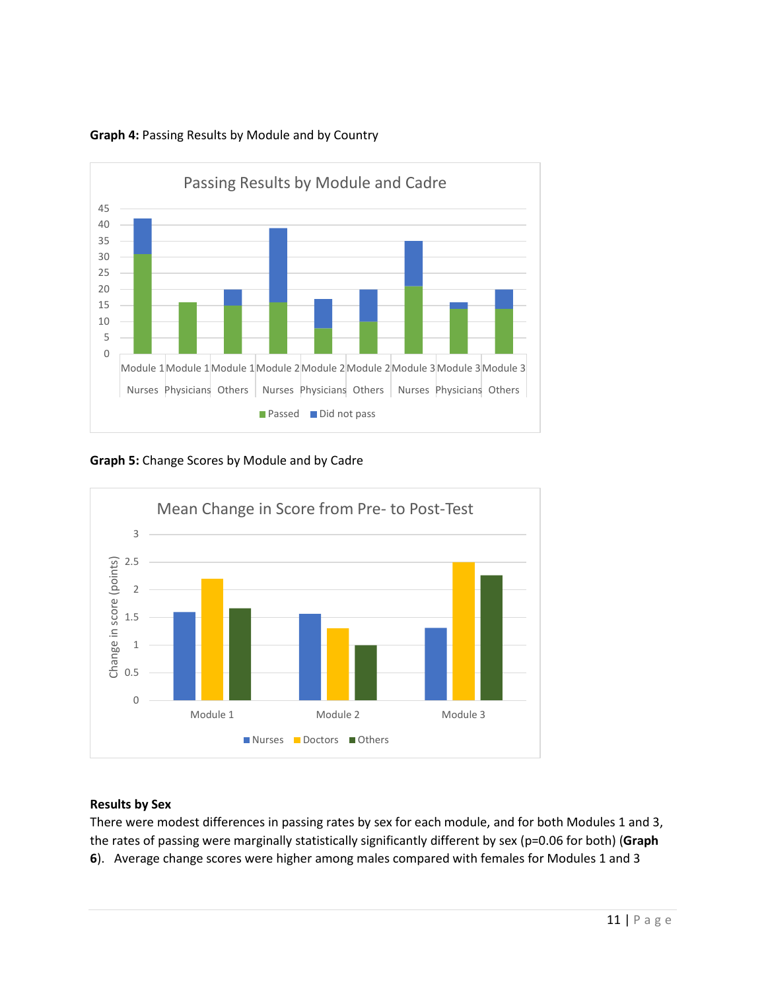

#### **Graph 4:** Passing Results by Module and by Country

**Graph 5:** Change Scores by Module and by Cadre



### **Results by Sex**

There were modest differences in passing rates by sex for each module, and for both Modules 1 and 3, the rates of passing were marginally statistically significantly different by sex (p=0.06 for both) (**Graph 6**).Average change scores were higher among males compared with females for Modules 1 and 3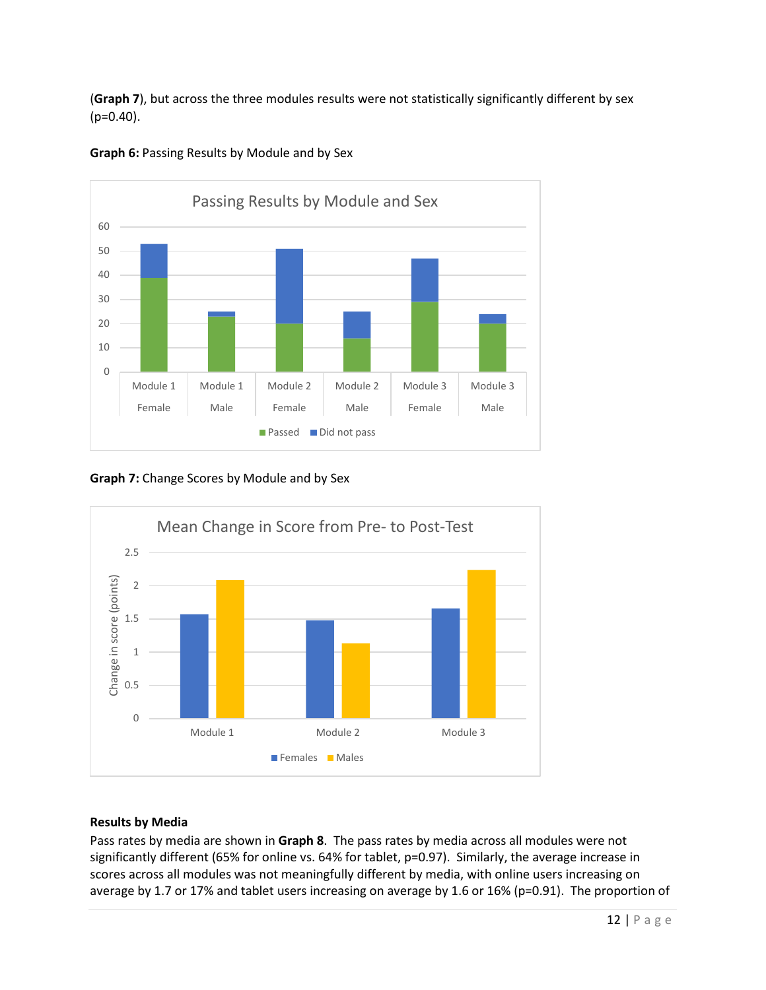(**Graph 7**), but across the three modules results were not statistically significantly different by sex  $(p=0.40)$ .



**Graph 6:** Passing Results by Module and by Sex

**Graph 7:** Change Scores by Module and by Sex



#### **Results by Media**

Pass rates by media are shown in **Graph 8**. The pass rates by media across all modules were not significantly different (65% for online vs. 64% for tablet, p=0.97). Similarly, the average increase in scores across all modules was not meaningfully different by media, with online users increasing on average by 1.7 or 17% and tablet users increasing on average by 1.6 or 16% (p=0.91). The proportion of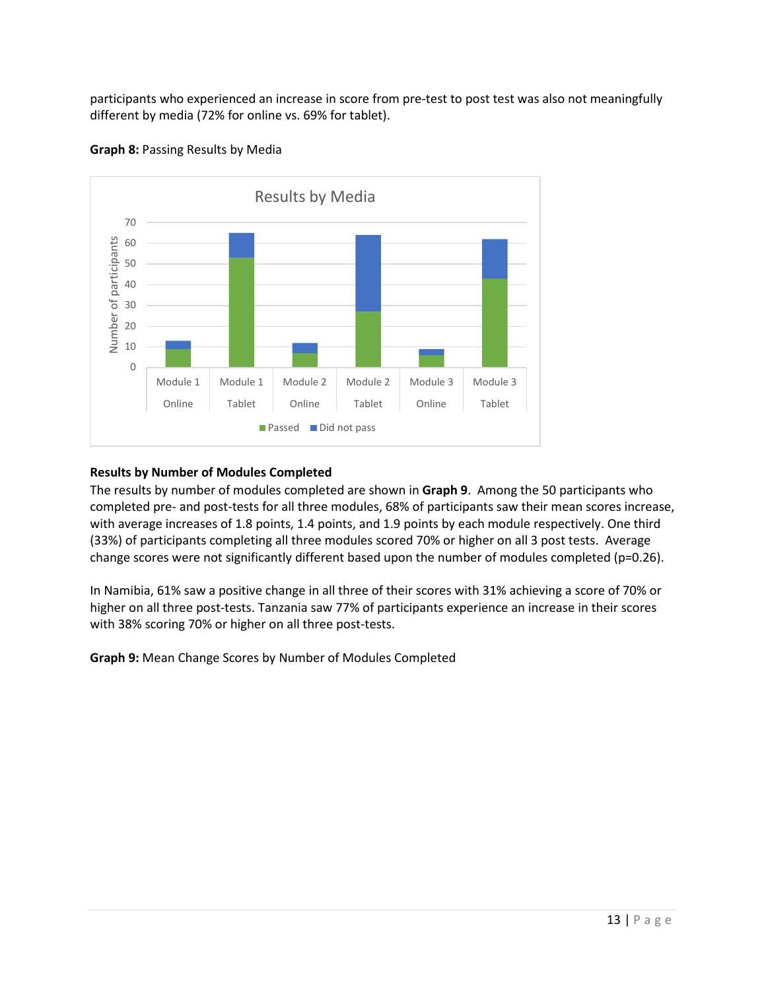participants who experienced an increase in score from pre-test to post test was also not meaningfully different by media (72% for online vs. 69% for tablet).



**Graph 8:** Passing Results by Media

#### **Results by Number of Modules Completed**

The results by number of modules completed are shown in **Graph 9**. Among the 50 participants who completed pre- and post-tests for all three modules, 68% of participants saw their mean scores increase, with average increases of 1.8 points, 1.4 points, and 1.9 points by each module respectively. One third (33%) of participants completing all three modules scored 70% or higher on all 3 post tests. Average change scores were not significantly different based upon the number of modules completed (p=0.26).

In Namibia, 61% saw a positive change in all three of their scores with 31% achieving a score of 70% or higher on all three post-tests. Tanzania saw 77% of participants experience an increase in their scores with 38% scoring 70% or higher on all three post-tests.

**Graph 9:** Mean Change Scores by Number of Modules Completed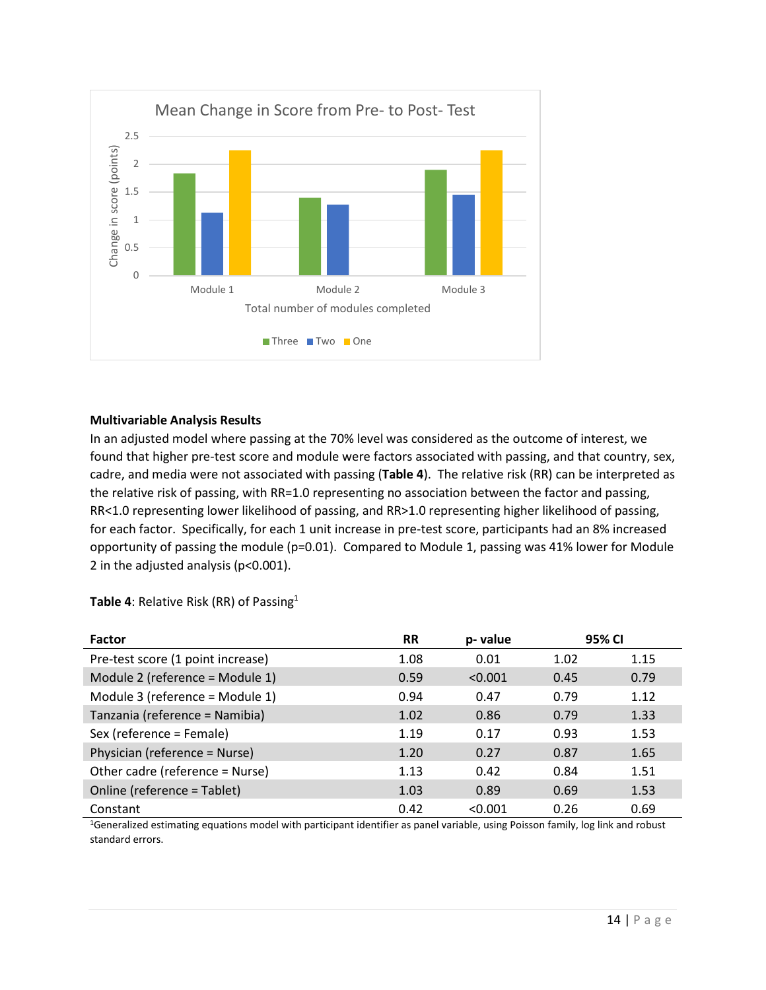

#### **Multivariable Analysis Results**

In an adjusted model where passing at the 70% level was considered as the outcome of interest, we found that higher pre-test score and module were factors associated with passing, and that country, sex, cadre, and media were not associated with passing (**Table 4**). The relative risk (RR) can be interpreted as the relative risk of passing, with RR=1.0 representing no association between the factor and passing, RR<1.0 representing lower likelihood of passing, and RR>1.0 representing higher likelihood of passing, for each factor. Specifically, for each 1 unit increase in pre-test score, participants had an 8% increased opportunity of passing the module (p=0.01). Compared to Module 1, passing was 41% lower for Module 2 in the adjusted analysis (p<0.001).

| <b>Factor</b>                     | <b>RR</b> | p-value | 95% CI |      |
|-----------------------------------|-----------|---------|--------|------|
| Pre-test score (1 point increase) | 1.08      | 0.01    | 1.02   | 1.15 |
| Module 2 (reference = Module 1)   | 0.59      | < 0.001 | 0.45   | 0.79 |
| Module 3 (reference = Module 1)   | 0.94      | 0.47    | 0.79   | 1.12 |
| Tanzania (reference = Namibia)    | 1.02      | 0.86    | 0.79   | 1.33 |
| Sex (reference = Female)          | 1.19      | 0.17    | 0.93   | 1.53 |
| Physician (reference = Nurse)     | 1.20      | 0.27    | 0.87   | 1.65 |
| Other cadre (reference = Nurse)   | 1.13      | 0.42    | 0.84   | 1.51 |
| Online (reference = Tablet)       | 1.03      | 0.89    | 0.69   | 1.53 |
| Constant                          | 0.42      | < 0.001 | 0.26   | 0.69 |
|                                   |           |         |        |      |

**Table 4: Relative Risk (RR) of Passing<sup>1</sup>** 

1Generalized estimating equations model with participant identifier as panel variable, using Poisson family, log link and robust standard errors.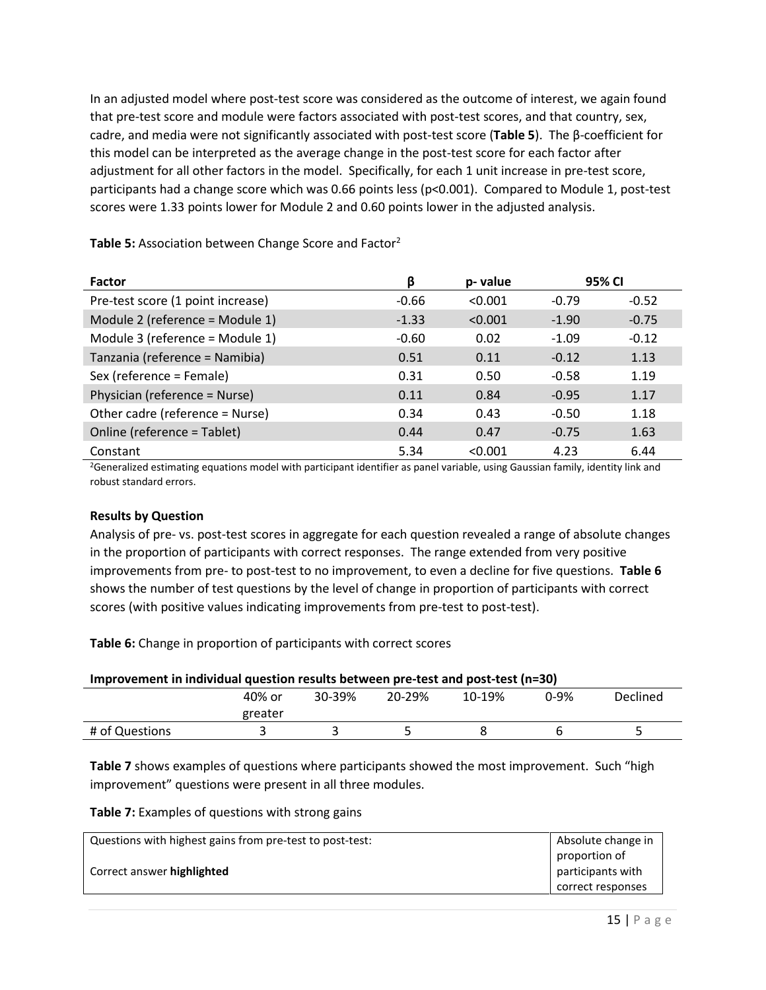In an adjusted model where post-test score was considered as the outcome of interest, we again found that pre-test score and module were factors associated with post-test scores, and that country, sex, cadre, and media were not significantly associated with post-test score (**Table 5**). The β-coefficient for this model can be interpreted as the average change in the post-test score for each factor after adjustment for all other factors in the model. Specifically, for each 1 unit increase in pre-test score, participants had a change score which was 0.66 points less (p<0.001). Compared to Module 1, post-test scores were 1.33 points lower for Module 2 and 0.60 points lower in the adjusted analysis.

| <b>Factor</b>                     | β       | p-value | 95% CI  |         |
|-----------------------------------|---------|---------|---------|---------|
| Pre-test score (1 point increase) | $-0.66$ | < 0.001 | $-0.79$ | $-0.52$ |
| Module 2 (reference = Module 1)   | $-1.33$ | < 0.001 | $-1.90$ | $-0.75$ |
| Module 3 (reference = Module 1)   | $-0.60$ | 0.02    | $-1.09$ | $-0.12$ |
| Tanzania (reference = Namibia)    | 0.51    | 0.11    | $-0.12$ | 1.13    |
| Sex (reference = Female)          | 0.31    | 0.50    | $-0.58$ | 1.19    |
| Physician (reference = Nurse)     | 0.11    | 0.84    | $-0.95$ | 1.17    |
| Other cadre (reference = Nurse)   | 0.34    | 0.43    | $-0.50$ | 1.18    |
| Online (reference = Tablet)       | 0.44    | 0.47    | $-0.75$ | 1.63    |
| Constant                          | 5.34    | < 0.001 | 4.23    | 6.44    |

Table 5: Association between Change Score and Factor<sup>2</sup>

<sup>2</sup>Generalized estimating equations model with participant identifier as panel variable, using Gaussian family, identity link and robust standard errors.

#### **Results by Question**

Analysis of pre- vs. post-test scores in aggregate for each question revealed a range of absolute changes in the proportion of participants with correct responses. The range extended from very positive improvements from pre- to post-test to no improvement, to even a decline for five questions. **Table 6** shows the number of test questions by the level of change in proportion of participants with correct scores (with positive values indicating improvements from pre-test to post-test).

**Table 6:** Change in proportion of participants with correct scores

| Improvement in individual question results between pre-test and post-test (n=30) |         |  |  |  |  |  |  |
|----------------------------------------------------------------------------------|---------|--|--|--|--|--|--|
| 20-29%<br>Declined<br>40% or<br>30-39%<br>10-19%<br>በ-ዓ%                         |         |  |  |  |  |  |  |
|                                                                                  | greater |  |  |  |  |  |  |
| # of Questions                                                                   |         |  |  |  |  |  |  |

**Table 7** shows examples of questions where participants showed the most improvement. Such "high improvement" questions were present in all three modules.

**Table 7:** Examples of questions with strong gains

| Questions with highest gains from pre-test to post-test: | Absolute change in |
|----------------------------------------------------------|--------------------|
|                                                          | proportion of      |
| Correct answer highlighted                               | participants with  |
|                                                          | correct responses  |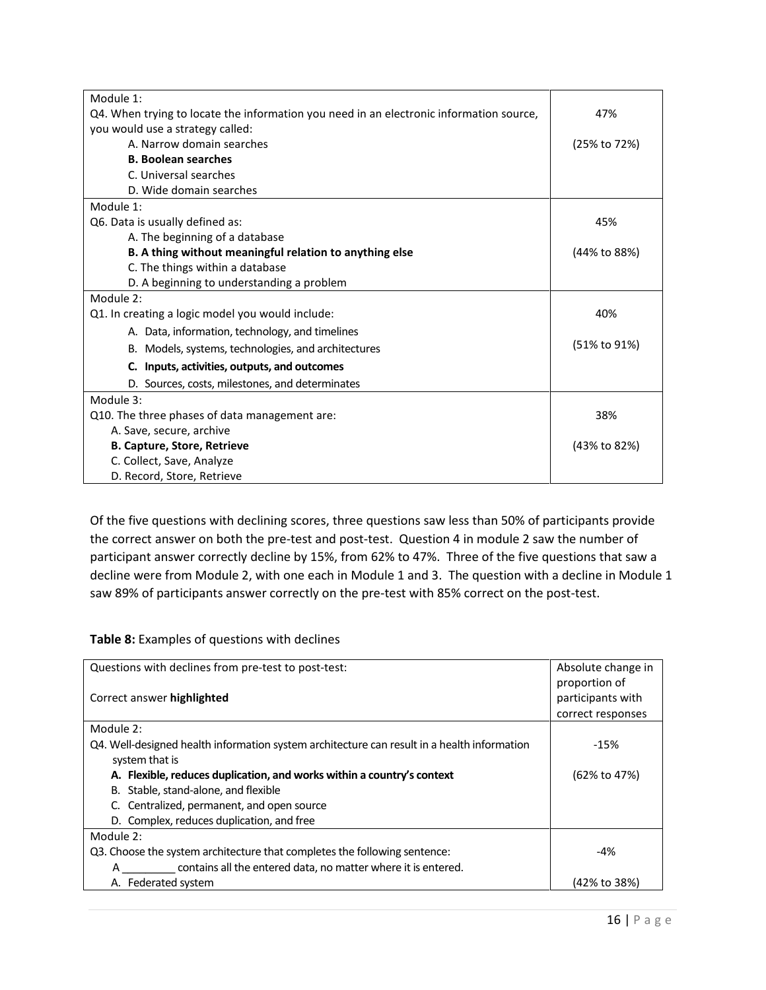| Module 1:                                                                               |              |
|-----------------------------------------------------------------------------------------|--------------|
| Q4. When trying to locate the information you need in an electronic information source, | 47%          |
| you would use a strategy called:                                                        |              |
| A. Narrow domain searches                                                               | (25% to 72%) |
| <b>B. Boolean searches</b>                                                              |              |
| C. Universal searches                                                                   |              |
| D. Wide domain searches                                                                 |              |
| Module 1:                                                                               |              |
| Q6. Data is usually defined as:                                                         | 45%          |
| A. The beginning of a database                                                          |              |
| B. A thing without meaningful relation to anything else                                 | (44% to 88%) |
| C. The things within a database                                                         |              |
| D. A beginning to understanding a problem                                               |              |
| Module 2:                                                                               |              |
| Q1. In creating a logic model you would include:                                        | 40%          |
| A. Data, information, technology, and timelines                                         |              |
| B. Models, systems, technologies, and architectures                                     | (51% to 91%) |
| C. Inputs, activities, outputs, and outcomes                                            |              |
| D. Sources, costs, milestones, and determinates                                         |              |
| Module 3:                                                                               |              |
| Q10. The three phases of data management are:                                           | 38%          |
| A. Save, secure, archive                                                                |              |
| <b>B. Capture, Store, Retrieve</b>                                                      | (43% to 82%) |
| C. Collect, Save, Analyze                                                               |              |
| D. Record, Store, Retrieve                                                              |              |

Of the five questions with declining scores, three questions saw less than 50% of participants provide the correct answer on both the pre-test and post-test. Question 4 in module 2 saw the number of participant answer correctly decline by 15%, from 62% to 47%. Three of the five questions that saw a decline were from Module 2, with one each in Module 1 and 3. The question with a decline in Module 1 saw 89% of participants answer correctly on the pre-test with 85% correct on the post-test.

**Table 8:** Examples of questions with declines

| Questions with declines from pre-test to post-test:                                         | Absolute change in<br>proportion of |
|---------------------------------------------------------------------------------------------|-------------------------------------|
| Correct answer highlighted                                                                  | participants with                   |
|                                                                                             | correct responses                   |
| Module 2:                                                                                   |                                     |
| Q4. Well-designed health information system architecture can result in a health information | $-15%$                              |
| system that is                                                                              |                                     |
| A. Flexible, reduces duplication, and works within a country's context                      | (62% to 47%)                        |
| B. Stable, stand-alone, and flexible                                                        |                                     |
| C. Centralized, permanent, and open source                                                  |                                     |
| D. Complex, reduces duplication, and free                                                   |                                     |
| Module 2:                                                                                   |                                     |
| Q3. Choose the system architecture that completes the following sentence:                   | $-4%$                               |
| contains all the entered data, no matter where it is entered.<br>А                          |                                     |
| Federated system<br>А.                                                                      | (42% to 38%)                        |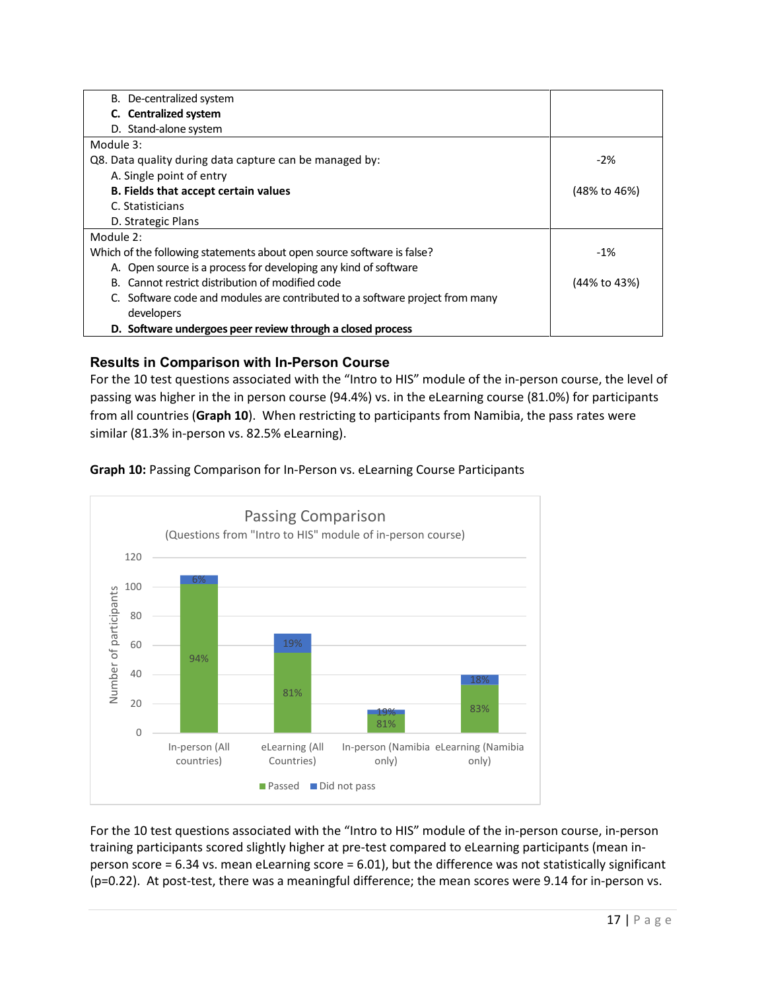| B. De-centralized system                                                     |              |
|------------------------------------------------------------------------------|--------------|
| C. Centralized system                                                        |              |
| D. Stand-alone system                                                        |              |
| Module 3:                                                                    |              |
| Q8. Data quality during data capture can be managed by:                      | $-2\%$       |
| A. Single point of entry                                                     |              |
| B. Fields that accept certain values                                         | (48% to 46%) |
| C. Statisticians                                                             |              |
| D. Strategic Plans                                                           |              |
| Module 2:                                                                    |              |
| Which of the following statements about open source software is false?       | $-1%$        |
| A. Open source is a process for developing any kind of software              |              |
| B. Cannot restrict distribution of modified code                             | (44% to 43%) |
| C. Software code and modules are contributed to a software project from many |              |
| developers                                                                   |              |
| D. Software undergoes peer review through a closed process                   |              |

#### **Results in Comparison with In-Person Course**

For the 10 test questions associated with the "Intro to HIS" module of the in-person course, the level of passing was higher in the in person course (94.4%) vs. in the eLearning course (81.0%) for participants from all countries (**Graph 10**). When restricting to participants from Namibia, the pass rates were similar (81.3% in-person vs. 82.5% eLearning).

**Graph 10:** Passing Comparison for In-Person vs. eLearning Course Participants



For the 10 test questions associated with the "Intro to HIS" module of the in-person course, in-person training participants scored slightly higher at pre-test compared to eLearning participants (mean inperson score = 6.34 vs. mean eLearning score = 6.01), but the difference was not statistically significant (p=0.22). At post-test, there was a meaningful difference; the mean scores were 9.14 for in-person vs.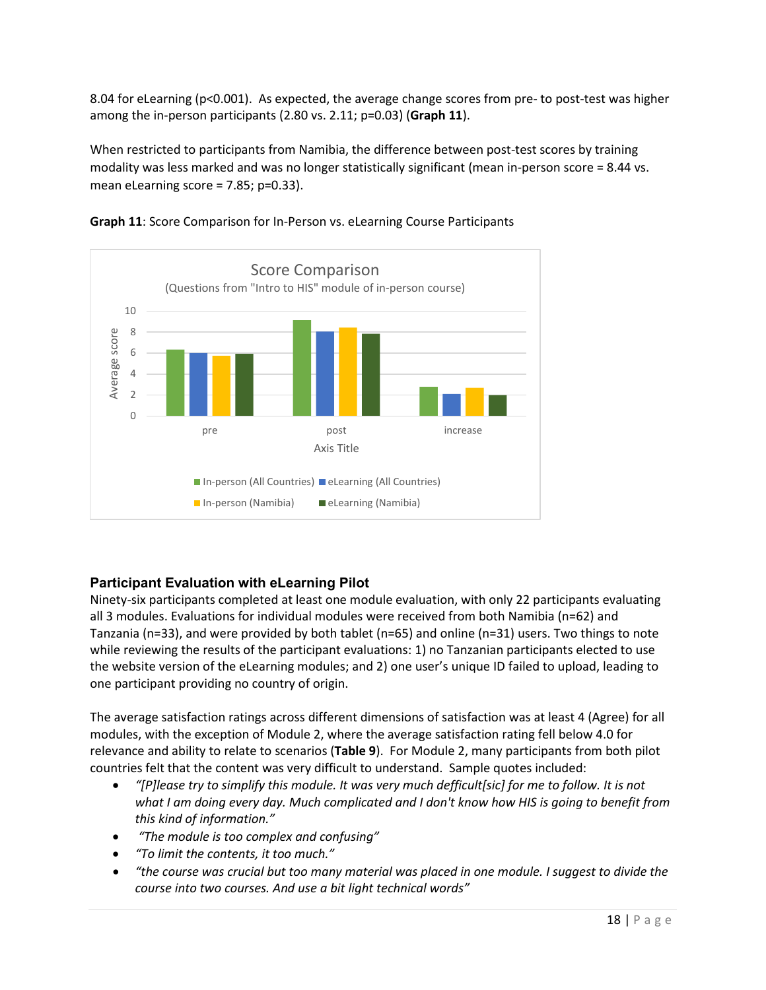8.04 for eLearning (p<0.001). As expected, the average change scores from pre- to post-test was higher among the in-person participants (2.80 vs. 2.11; p=0.03) (**Graph 11**).

When restricted to participants from Namibia, the difference between post-test scores by training modality was less marked and was no longer statistically significant (mean in-person score = 8.44 vs. mean eLearning score = 7.85; p=0.33).





### **Participant Evaluation with eLearning Pilot**

Ninety-six participants completed at least one module evaluation, with only 22 participants evaluating all 3 modules. Evaluations for individual modules were received from both Namibia (n=62) and Tanzania (n=33), and were provided by both tablet (n=65) and online (n=31) users. Two things to note while reviewing the results of the participant evaluations: 1) no Tanzanian participants elected to use the website version of the eLearning modules; and 2) one user's unique ID failed to upload, leading to one participant providing no country of origin.

The average satisfaction ratings across different dimensions of satisfaction was at least 4 (Agree) for all modules, with the exception of Module 2, where the average satisfaction rating fell below 4.0 for relevance and ability to relate to scenarios (**Table 9**). For Module 2, many participants from both pilot countries felt that the content was very difficult to understand. Sample quotes included:

- *"[P]lease try to simplify this module. It was very much defficult[sic] for me to follow. It is not what I am doing every day. Much complicated and I don't know how HIS is going to benefit from this kind of information."*
- *"The module is too complex and confusing"*
- *"To limit the contents, it too much."*
- *"the course was crucial but too many material was placed in one module. I suggest to divide the course into two courses. And use a bit light technical words"*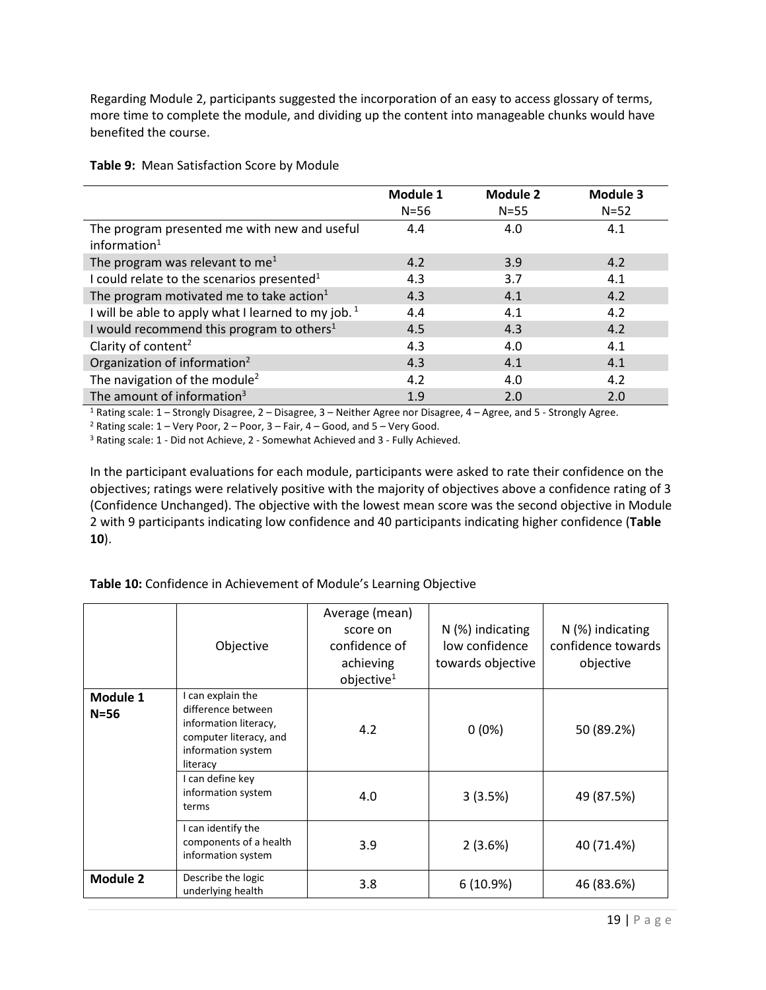Regarding Module 2, participants suggested the incorporation of an easy to access glossary of terms, more time to complete the module, and dividing up the content into manageable chunks would have benefited the course.

|                                                                 | Module 1 | <b>Module 2</b> | Module 3 |
|-----------------------------------------------------------------|----------|-----------------|----------|
|                                                                 | $N=56$   | $N=55$          | $N=52$   |
| The program presented me with new and useful<br>information $1$ | 4.4      | 4.0             | 4.1      |
| The program was relevant to me <sup>1</sup>                     | 4.2      | 3.9             | 4.2      |
| I could relate to the scenarios presented <sup>1</sup>          | 4.3      | 3.7             | 4.1      |
| The program motivated me to take action $1$                     | 4.3      | 4.1             | 4.2      |
| I will be able to apply what I learned to my job. $1$           | 4.4      | 4.1             | 4.2      |
| I would recommend this program to others $1$                    | 4.5      | 4.3             | 4.2      |
| Clarity of content <sup>2</sup>                                 | 4.3      | 4.0             | 4.1      |
| Organization of information <sup>2</sup>                        | 4.3      | 4.1             | 4.1      |
| The navigation of the module <sup>2</sup>                       | 4.2      | 4.0             | 4.2      |
| The amount of information <sup>3</sup>                          | 1.9      | 2.0             | 2.0      |

**Table 9:** Mean Satisfaction Score by Module

<sup>1</sup> Rating scale: 1 – Strongly Disagree, 2 – Disagree, 3 – Neither Agree nor Disagree, 4 – Agree, and 5 - Strongly Agree.<br><sup>2</sup> Rating scale: 1 – Very Poor, 2 – Poor, 3 – Fair, 4 – Good, and 5 – Very Good.

<sup>3</sup> Rating scale: 1 - Did not Achieve, 2 - Somewhat Achieved and 3 - Fully Achieved.

In the participant evaluations for each module, participants were asked to rate their confidence on the objectives; ratings were relatively positive with the majority of objectives above a confidence rating of 3 (Confidence Unchanged). The objective with the lowest mean score was the second objective in Module 2 with 9 participants indicating low confidence and 40 participants indicating higher confidence (**Table 10**).

#### **Table 10:** Confidence in Achievement of Module's Learning Objective

|                    | Objective                                                                                                                    | Average (mean)<br>score on<br>confidence of<br>achieving<br>objective <sup>1</sup> | $N$ (%) indicating<br>low confidence<br>towards objective | $N$ (%) indicating<br>confidence towards<br>objective |  |  |
|--------------------|------------------------------------------------------------------------------------------------------------------------------|------------------------------------------------------------------------------------|-----------------------------------------------------------|-------------------------------------------------------|--|--|
| Module 1<br>$N=56$ | I can explain the<br>difference between<br>information literacy,<br>computer literacy, and<br>information system<br>literacy | 4.2                                                                                | $0(0\%)$                                                  | 50 (89.2%)                                            |  |  |
|                    | I can define key<br>information system<br>terms                                                                              | 4.0                                                                                | 3(3.5%)                                                   | 49 (87.5%)                                            |  |  |
|                    | I can identify the<br>components of a health<br>information system                                                           | 3.9                                                                                | 2(3.6%)                                                   | 40 (71.4%)                                            |  |  |
| <b>Module 2</b>    | Describe the logic<br>underlying health                                                                                      | 3.8                                                                                | 6(10.9%)                                                  | 46 (83.6%)                                            |  |  |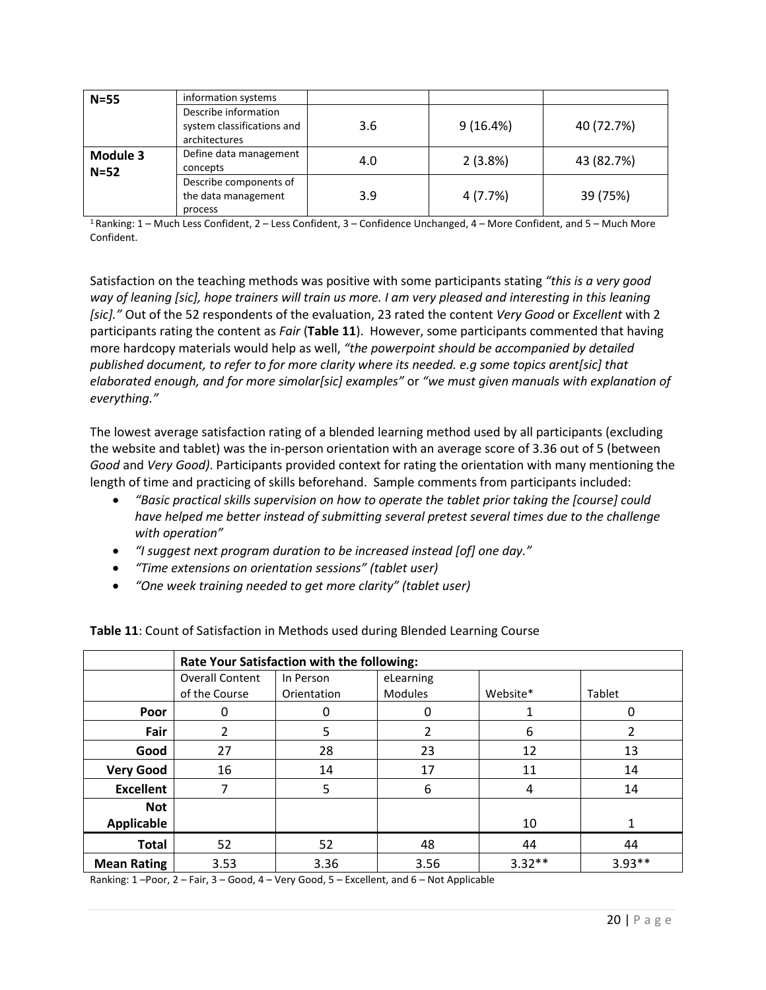| $N = 55$           | information systems                                                 |     |          |            |  |  |
|--------------------|---------------------------------------------------------------------|-----|----------|------------|--|--|
|                    | Describe information<br>system classifications and<br>architectures | 3.6 | 9(16.4%) | 40 (72.7%) |  |  |
| Module 3<br>$N=52$ | Define data management<br>concepts                                  | 4.0 | 2(3.8%)  | 43 (82.7%) |  |  |
|                    | Describe components of<br>the data management<br>process            | 3.9 | 4 (7.7%) | 39 (75%)   |  |  |

1 Ranking: 1 – Much Less Confident, 2 – Less Confident, 3 – Confidence Unchanged, 4 – More Confident, and 5 – Much More Confident.

Satisfaction on the teaching methods was positive with some participants stating *"this is a very good way of leaning [sic], hope trainers will train us more. I am very pleased and interesting in this leaning [sic]."* Out of the 52 respondents of the evaluation, 23 rated the content *Very Good* or *Excellent* with 2 participants rating the content as *Fair* (**Table 11**). However, some participants commented that having more hardcopy materials would help as well, *"the powerpoint should be accompanied by detailed published document, to refer to for more clarity where its needed. e.g some topics arent[sic] that elaborated enough, and for more simolar[sic] examples"* or *"we must given manuals with explanation of everything."*

The lowest average satisfaction rating of a blended learning method used by all participants (excluding the website and tablet) was the in-person orientation with an average score of 3.36 out of 5 (between *Good* and *Very Good)*. Participants provided context for rating the orientation with many mentioning the length of time and practicing of skills beforehand. Sample comments from participants included:

- *"Basic practical skills supervision on how to operate the tablet prior taking the [course] could have helped me better instead of submitting several pretest several times due to the challenge with operation"*
- *"I suggest next program duration to be increased instead [of] one day."*
- *"Time extensions on orientation sessions" (tablet user)*
- *"One week training needed to get more clarity" (tablet user)*

|                    | Rate Your Satisfaction with the following: |                          |                             |          |          |  |  |  |  |
|--------------------|--------------------------------------------|--------------------------|-----------------------------|----------|----------|--|--|--|--|
|                    | <b>Overall Content</b><br>of the Course    | In Person<br>Orientation | eLearning<br><b>Modules</b> | Website* | Tablet   |  |  |  |  |
| Poor               | 0                                          | 0                        | 0                           |          |          |  |  |  |  |
| Fair               | 2                                          | 5                        | $\mathcal{P}$               | 6        |          |  |  |  |  |
| Good               | 27                                         | 28                       | 23                          | 12       | 13       |  |  |  |  |
| <b>Very Good</b>   | 16                                         | 14                       | 17                          | 11       | 14       |  |  |  |  |
| <b>Excellent</b>   |                                            | 5                        | 6                           | 4        | 14       |  |  |  |  |
| <b>Not</b>         |                                            |                          |                             |          |          |  |  |  |  |
| Applicable         |                                            |                          |                             | 10       |          |  |  |  |  |
| <b>Total</b>       | 52                                         | 52                       | 48                          | 44       | 44       |  |  |  |  |
| <b>Mean Rating</b> | 3.53                                       | 3.36                     | 3.56                        | $3.32**$ | $3.93**$ |  |  |  |  |

**Table 11**: Count of Satisfaction in Methods used during Blended Learning Course

Ranking: 1 –Poor, 2 – Fair, 3 – Good, 4 – Very Good, 5 – Excellent, and 6 – Not Applicable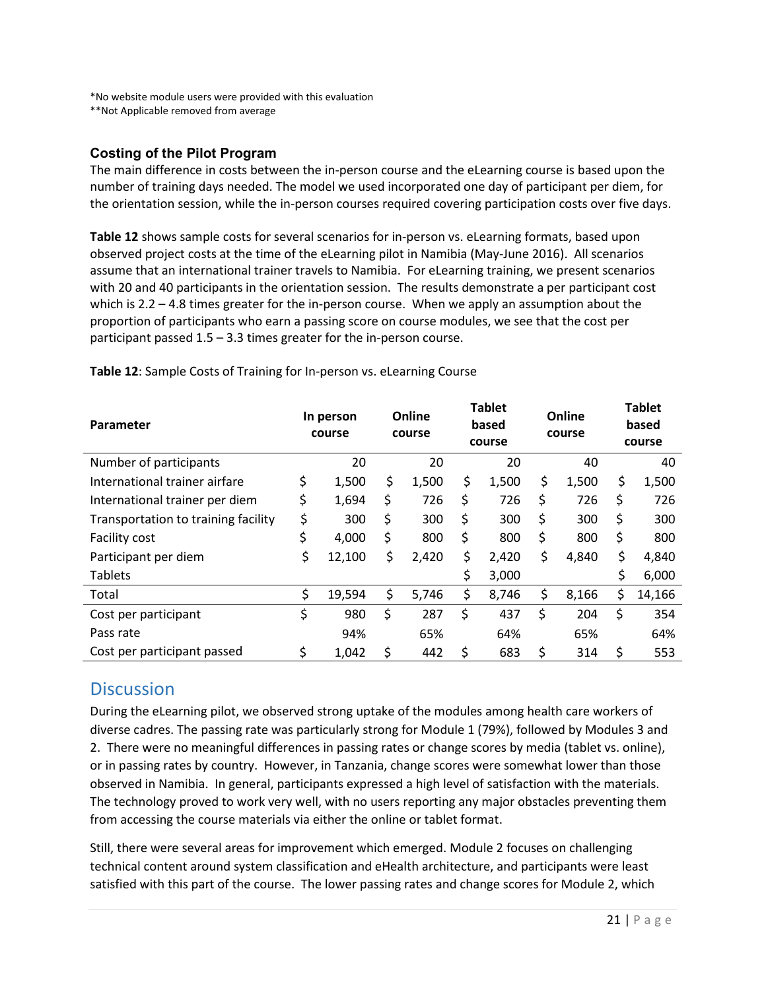\*No website module users were provided with this evaluation

\*\*Not Applicable removed from average

#### **Costing of the Pilot Program**

The main difference in costs between the in-person course and the eLearning course is based upon the number of training days needed. The model we used incorporated one day of participant per diem, for the orientation session, while the in-person courses required covering participation costs over five days.

**Table 12** shows sample costs for several scenarios for in-person vs. eLearning formats, based upon observed project costs at the time of the eLearning pilot in Namibia (May-June 2016). All scenarios assume that an international trainer travels to Namibia. For eLearning training, we present scenarios with 20 and 40 participants in the orientation session. The results demonstrate a per participant cost which is 2.2 – 4.8 times greater for the in-person course. When we apply an assumption about the proportion of participants who earn a passing score on course modules, we see that the cost per participant passed 1.5 – 3.3 times greater for the in-person course.

| <b>Parameter</b>                    |    | In person<br>course |    | Online<br>course |    | <b>Tablet</b><br>based<br>course |    | Online<br>course |    | <b>Tablet</b><br>based<br>course |  |
|-------------------------------------|----|---------------------|----|------------------|----|----------------------------------|----|------------------|----|----------------------------------|--|
| Number of participants              |    | 20                  |    | 20               |    | 20                               |    | 40               |    | 40                               |  |
| International trainer airfare       | \$ | 1,500               | \$ | 1,500            | \$ | 1,500                            | \$ | 1,500            | \$ | 1,500                            |  |
| International trainer per diem      | \$ | 1,694               | \$ | 726              | \$ | 726                              | \$ | 726              | \$ | 726                              |  |
| Transportation to training facility | \$ | 300                 | \$ | 300              | \$ | 300                              | Ś  | 300              | \$ | 300                              |  |
| Facility cost                       | \$ | 4,000               | \$ | 800              | \$ | 800                              | \$ | 800              | \$ | 800                              |  |
| Participant per diem                | \$ | 12,100              | \$ | 2,420            | \$ | 2,420                            | \$ | 4,840            | \$ | 4,840                            |  |
| <b>Tablets</b>                      |    |                     |    |                  | \$ | 3,000                            |    |                  |    | 6,000                            |  |
| Total                               | \$ | 19,594              | \$ | 5,746            | \$ | 8,746                            | \$ | 8,166            | \$ | 14,166                           |  |
| Cost per participant                | \$ | 980                 | \$ | 287              | \$ | 437                              | \$ | 204              | \$ | 354                              |  |
| Pass rate                           |    | 94%                 |    | 65%              |    | 64%                              |    | 65%              |    | 64%                              |  |
| Cost per participant passed         | \$ | 1,042               | \$ | 442              | \$ | 683                              | \$ | 314              | \$ | 553                              |  |

**Table 12**: Sample Costs of Training for In-person vs. eLearning Course

### **Discussion**

During the eLearning pilot, we observed strong uptake of the modules among health care workers of diverse cadres. The passing rate was particularly strong for Module 1 (79%), followed by Modules 3 and 2. There were no meaningful differences in passing rates or change scores by media (tablet vs. online), or in passing rates by country. However, in Tanzania, change scores were somewhat lower than those observed in Namibia. In general, participants expressed a high level of satisfaction with the materials. The technology proved to work very well, with no users reporting any major obstacles preventing them from accessing the course materials via either the online or tablet format.

Still, there were several areas for improvement which emerged. Module 2 focuses on challenging technical content around system classification and eHealth architecture, and participants were least satisfied with this part of the course. The lower passing rates and change scores for Module 2, which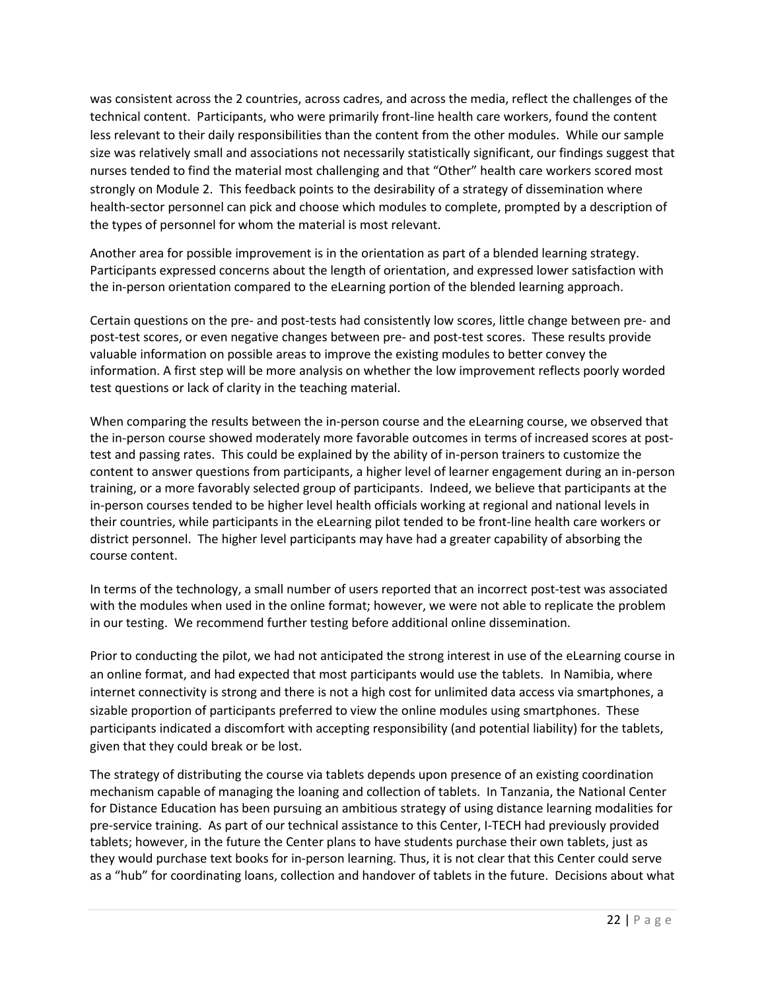was consistent across the 2 countries, across cadres, and across the media, reflect the challenges of the technical content. Participants, who were primarily front-line health care workers, found the content less relevant to their daily responsibilities than the content from the other modules. While our sample size was relatively small and associations not necessarily statistically significant, our findings suggest that nurses tended to find the material most challenging and that "Other" health care workers scored most strongly on Module 2. This feedback points to the desirability of a strategy of dissemination where health-sector personnel can pick and choose which modules to complete, prompted by a description of the types of personnel for whom the material is most relevant.

Another area for possible improvement is in the orientation as part of a blended learning strategy. Participants expressed concerns about the length of orientation, and expressed lower satisfaction with the in-person orientation compared to the eLearning portion of the blended learning approach.

Certain questions on the pre- and post-tests had consistently low scores, little change between pre- and post-test scores, or even negative changes between pre- and post-test scores. These results provide valuable information on possible areas to improve the existing modules to better convey the information. A first step will be more analysis on whether the low improvement reflects poorly worded test questions or lack of clarity in the teaching material.

When comparing the results between the in-person course and the eLearning course, we observed that the in-person course showed moderately more favorable outcomes in terms of increased scores at posttest and passing rates. This could be explained by the ability of in-person trainers to customize the content to answer questions from participants, a higher level of learner engagement during an in-person training, or a more favorably selected group of participants. Indeed, we believe that participants at the in-person courses tended to be higher level health officials working at regional and national levels in their countries, while participants in the eLearning pilot tended to be front-line health care workers or district personnel. The higher level participants may have had a greater capability of absorbing the course content.

In terms of the technology, a small number of users reported that an incorrect post-test was associated with the modules when used in the online format; however, we were not able to replicate the problem in our testing. We recommend further testing before additional online dissemination.

Prior to conducting the pilot, we had not anticipated the strong interest in use of the eLearning course in an online format, and had expected that most participants would use the tablets. In Namibia, where internet connectivity is strong and there is not a high cost for unlimited data access via smartphones, a sizable proportion of participants preferred to view the online modules using smartphones. These participants indicated a discomfort with accepting responsibility (and potential liability) for the tablets, given that they could break or be lost.

The strategy of distributing the course via tablets depends upon presence of an existing coordination mechanism capable of managing the loaning and collection of tablets. In Tanzania, the National Center for Distance Education has been pursuing an ambitious strategy of using distance learning modalities for pre-service training. As part of our technical assistance to this Center, I-TECH had previously provided tablets; however, in the future the Center plans to have students purchase their own tablets, just as they would purchase text books for in-person learning. Thus, it is not clear that this Center could serve as a "hub" for coordinating loans, collection and handover of tablets in the future. Decisions about what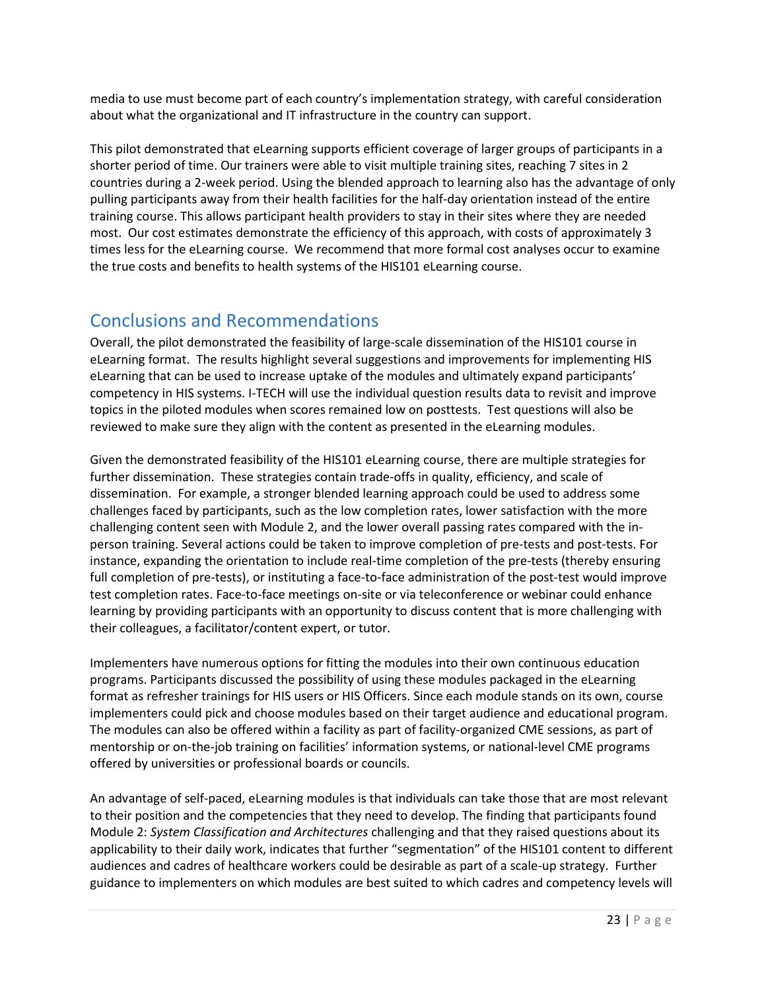media to use must become part of each country's implementation strategy, with careful consideration about what the organizational and IT infrastructure in the country can support.

This pilot demonstrated that eLearning supports efficient coverage of larger groups of participants in a shorter period of time. Our trainers were able to visit multiple training sites, reaching 7 sites in 2 countries during a 2-week period. Using the blended approach to learning also has the advantage of only pulling participants away from their health facilities for the half-day orientation instead of the entire training course. This allows participant health providers to stay in their sites where they are needed most. Our cost estimates demonstrate the efficiency of this approach, with costs of approximately 3 times less for the eLearning course. We recommend that more formal cost analyses occur to examine the true costs and benefits to health systems of the HIS101 eLearning course.

# Conclusions and Recommendations

Overall, the pilot demonstrated the feasibility of large-scale dissemination of the HIS101 course in eLearning format. The results highlight several suggestions and improvements for implementing HIS eLearning that can be used to increase uptake of the modules and ultimately expand participants' competency in HIS systems. I-TECH will use the individual question results data to revisit and improve topics in the piloted modules when scores remained low on posttests. Test questions will also be reviewed to make sure they align with the content as presented in the eLearning modules.

Given the demonstrated feasibility of the HIS101 eLearning course, there are multiple strategies for further dissemination. These strategies contain trade-offs in quality, efficiency, and scale of dissemination. For example, a stronger blended learning approach could be used to address some challenges faced by participants, such as the low completion rates, lower satisfaction with the more challenging content seen with Module 2, and the lower overall passing rates compared with the inperson training. Several actions could be taken to improve completion of pre-tests and post-tests. For instance, expanding the orientation to include real-time completion of the pre-tests (thereby ensuring full completion of pre-tests), or instituting a face-to-face administration of the post-test would improve test completion rates. Face-to-face meetings on-site or via teleconference or webinar could enhance learning by providing participants with an opportunity to discuss content that is more challenging with their colleagues, a facilitator/content expert, or tutor.

Implementers have numerous options for fitting the modules into their own continuous education programs. Participants discussed the possibility of using these modules packaged in the eLearning format as refresher trainings for HIS users or HIS Officers. Since each module stands on its own, course implementers could pick and choose modules based on their target audience and educational program. The modules can also be offered within a facility as part of facility-organized CME sessions, as part of mentorship or on-the-job training on facilities' information systems, or national-level CME programs offered by universities or professional boards or councils.

An advantage of self-paced, eLearning modules is that individuals can take those that are most relevant to their position and the competencies that they need to develop. The finding that participants found Module 2: *System Classification and Architectures* challenging and that they raised questions about its applicability to their daily work, indicates that further "segmentation" of the HIS101 content to different audiences and cadres of healthcare workers could be desirable as part of a scale-up strategy. Further guidance to implementers on which modules are best suited to which cadres and competency levels will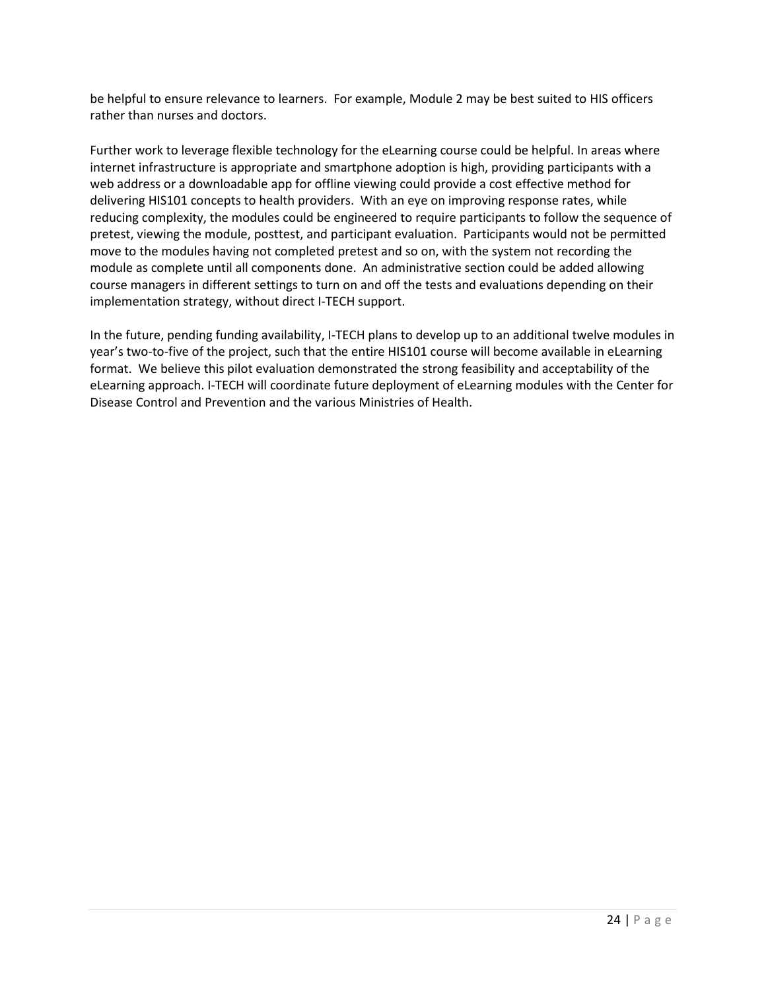be helpful to ensure relevance to learners. For example, Module 2 may be best suited to HIS officers rather than nurses and doctors.

Further work to leverage flexible technology for the eLearning course could be helpful. In areas where internet infrastructure is appropriate and smartphone adoption is high, providing participants with a web address or a downloadable app for offline viewing could provide a cost effective method for delivering HIS101 concepts to health providers. With an eye on improving response rates, while reducing complexity, the modules could be engineered to require participants to follow the sequence of pretest, viewing the module, posttest, and participant evaluation. Participants would not be permitted move to the modules having not completed pretest and so on, with the system not recording the module as complete until all components done. An administrative section could be added allowing course managers in different settings to turn on and off the tests and evaluations depending on their implementation strategy, without direct I-TECH support.

In the future, pending funding availability, I-TECH plans to develop up to an additional twelve modules in year's two-to-five of the project, such that the entire HIS101 course will become available in eLearning format. We believe this pilot evaluation demonstrated the strong feasibility and acceptability of the eLearning approach. I-TECH will coordinate future deployment of eLearning modules with the Center for Disease Control and Prevention and the various Ministries of Health.